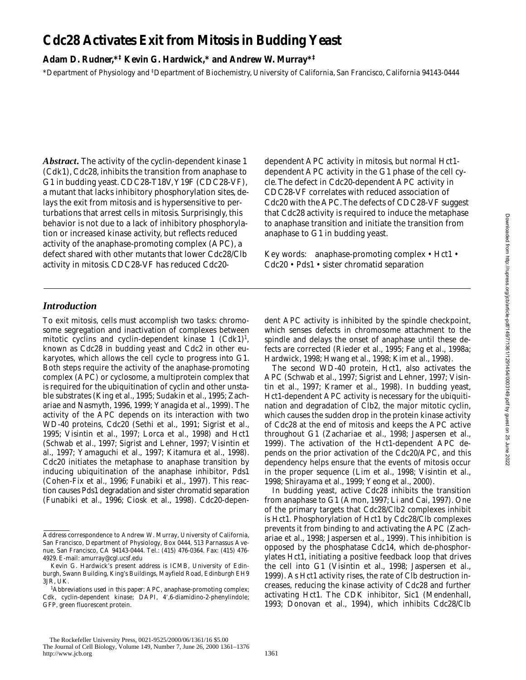# **Cdc28 Activates Exit from Mitosis in Budding Yeast**

## **Adam D. Rudner,\*‡ Kevin G. Hardwick,\* and Andrew W. Murray\*‡**

\*Department of Physiology and ‡ Department of Biochemistry, University of California, San Francisco, California 94143-0444

*Abstract.* The activity of the cyclin-dependent kinase 1 (Cdk1), Cdc28, inhibits the transition from anaphase to G1 in budding yeast. *CDC28-T18V, Y19F* (*CDC28-VF*), a mutant that lacks inhibitory phosphorylation sites, delays the exit from mitosis and is hypersensitive to perturbations that arrest cells in mitosis. Surprisingly, this behavior is not due to a lack of inhibitory phosphorylation or increased kinase activity, but reflects reduced activity of the anaphase-promoting complex (APC), a defect shared with other mutants that lower Cdc28/Clb activity in mitosis. *CDC28-VF* has reduced Cdc20dependent APC activity in mitosis, but normal Hct1 dependent APC activity in the G1 phase of the cell cycle. The defect in Cdc20-dependent APC activity in *CDC28-VF* correlates with reduced association of Cdc20 with the APC. The defects of *CDC28-VF* suggest that Cdc28 activity is required to induce the metaphase to anaphase transition and initiate the transition from anaphase to G1 in budding yeast.

Key words: anaphase-promoting complex • Hct1 • Cdc20 • Pds1 • sister chromatid separation

## *Introduction*

To exit mitosis, cells must accomplish two tasks: chromosome segregation and inactivation of complexes between mitotic cyclins and cyclin-dependent kinase 1 (Cdk1)<sup>1</sup>, known as Cdc28 in budding yeast and Cdc2 in other eukaryotes, which allows the cell cycle to progress into G1. Both steps require the activity of the anaphase-promoting complex (APC) or cyclosome, a multiprotein complex that is required for the ubiquitination of cyclin and other unstable substrates (King et al., 1995; Sudakin et al., 1995; Zachariae and Nasmyth, 1996, 1999; Yanagida et al., 1999). The activity of the APC depends on its interaction with two WD-40 proteins, Cdc20 (Sethi et al., 1991; Sigrist et al., 1995; Visintin et al., 1997; Lorca et al., 1998) and Hct1 (Schwab et al., 1997; Sigrist and Lehner, 1997; Visintin et al., 1997; Yamaguchi et al., 1997; Kitamura et al., 1998). Cdc20 initiates the metaphase to anaphase transition by inducing ubiquitination of the anaphase inhibitor, Pds1 (Cohen-Fix et al., 1996; Funabiki et al., 1997). This reaction causes Pds1 degradation and sister chromatid separation (Funabiki et al., 1996; Ciosk et al., 1998). Cdc20-dependent APC activity is inhibited by the spindle checkpoint, which senses defects in chromosome attachment to the spindle and delays the onset of anaphase until these defects are corrected (Rieder et al., 1995; Fang et al., 1998a; Hardwick, 1998; Hwang et al., 1998; Kim et al., 1998).

The second WD-40 protein, Hct1, also activates the APC (Schwab et al., 1997; Sigrist and Lehner, 1997; Visintin et al., 1997; Kramer et al., 1998). In budding yeast, Hct1-dependent APC activity is necessary for the ubiquitination and degradation of Clb2, the major mitotic cyclin, which causes the sudden drop in the protein kinase activity of Cdc28 at the end of mitosis and keeps the APC active throughout G1 (Zachariae et al., 1998; Jaspersen et al., 1999). The activation of the Hct1-dependent APC depends on the prior activation of the Cdc20/APC, and this dependency helps ensure that the events of mitosis occur in the proper sequence (Lim et al., 1998; Visintin et al., 1998; Shirayama et al., 1999; Yeong et al., 2000).

In budding yeast, active Cdc28 inhibits the transition from anaphase to G1 (Amon, 1997; Li and Cai, 1997). One of the primary targets that Cdc28/Clb2 complexes inhibit is Hct1. Phosphorylation of Hct1 by Cdc28/Clb complexes prevents it from binding to and activating the APC (Zachariae et al., 1998; Jaspersen et al., 1999). This inhibition is opposed by the phosphatase Cdc14, which de-phosphorylates Hct1, initiating a positive feedback loop that drives the cell into G1 (Visintin et al., 1998; Jaspersen et al., 1999). As Hct1 activity rises, the rate of Clb destruction increases, reducing the kinase activity of Cdc28 and further activating Hct1. The CDK inhibitor, Sic1 (Mendenhall, 1993; Donovan et al., 1994), which inhibits Cdc28/Clb

Address correspondence to Andrew W. Murray, University of California, San Francisco, Department of Physiology, Box 0444, 513 Parnassus Avenue, San Francisco, CA 94143-0444. Tel.: (415) 476-0364. Fax: (415) 476- 4929. E-mail: amurray@cgl.ucsf.edu

Kevin G. Hardwick's present address is ICMB, University of Edinburgh, Swann Building, King's Buildings, Mayfield Road, Edinburgh EH9 3JR, UK.

<sup>1</sup> *Abbreviations used in this paper:* APC, anaphase-promoting complex; Cdk, cyclin-dependent kinase; DAPI, 4',6-diamidino-2-phenylindole; GFP, green fluorescent protein.

The Rockefeller University Press, 0021-9525/2000/06/1361/16 \$5.00 The Journal of Cell Biology, Volume 149, Number 7, June 26, 2000 1361–1376 http://www.jcb.org 1361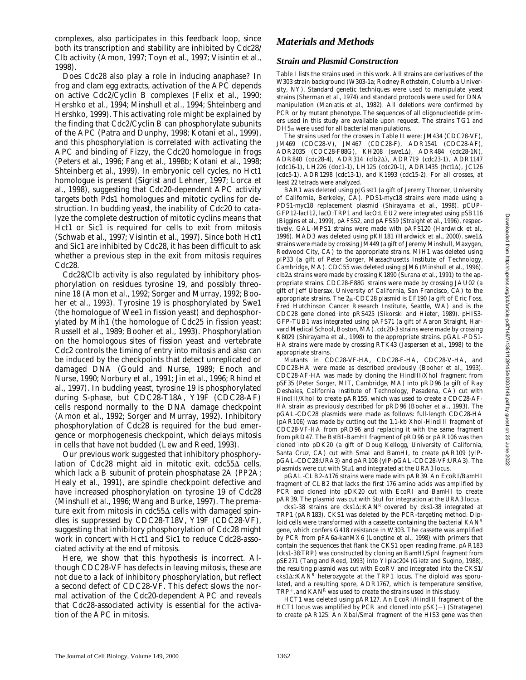Does Cdc28 also play a role in inducing anaphase? In frog and clam egg extracts, activation of the APC depends on active Cdc2/Cyclin B complexes (Felix et al., 1990; Hershko et al., 1994; Minshull et al., 1994; Shteinberg and Hershko, 1999). This activating role might be explained by the finding that Cdc2/Cyclin B can phosphorylate subunits of the APC (Patra and Dunphy, 1998; Kotani et al., 1999), and this phosphorylation is correlated with activating the APC and binding of Fizzy, the Cdc20 homologue in frogs (Peters et al., 1996; Fang et al., 1998b; Kotani et al., 1998; Shteinberg et al., 1999). In embryonic cell cycles, no Hct1 homologue is present (Sigrist and Lehner, 1997; Lorca et al., 1998), suggesting that Cdc20-dependent APC activity targets both Pds1 homologues and mitotic cyclins for destruction. In budding yeast, the inability of Cdc20 to catalyze the complete destruction of mitotic cyclins means that Hct1 or Sic1 is required for cells to exit from mitosis (Schwab et al., 1997; Visintin et al., 1997). Since both Hct1 and Sic1 are inhibited by Cdc28, it has been difficult to ask whether a previous step in the exit from mitosis requires Cdc28.

Cdc28/Clb activity is also regulated by inhibitory phosphorylation on residues tyrosine 19, and possibly threonine 18 (Amon et al., 1992; Sorger and Murray, 1992; Booher et al., 1993). Tyrosine 19 is phosphorylated by Swe1 (the homologue of Wee1 in fission yeast) and dephosphorylated by Mih1 (the homologue of Cdc25 in fission yeast; Russell et al., 1989; Booher et al., 1993). Phosphorylation on the homologous sites of fission yeast and vertebrate Cdc2 controls the timing of entry into mitosis and also can be induced by the checkpoints that detect unreplicated or damaged DNA (Gould and Nurse, 1989; Enoch and Nurse, 1990; Norbury et al., 1991; Jin et al., 1996; Rhind et al., 1997). In budding yeast, tyrosine 19 is phosphorylated during S-phase, but *CDC28-T18A, Y19F* (*CDC28-AF*) cells respond normally to the DNA damage checkpoint (Amon et al., 1992; Sorger and Murray, 1992). Inhibitory phosphorylation of Cdc28 is required for the bud emergence or morphogenesis checkpoint, which delays mitosis in cells that have not budded (Lew and Reed, 1993).

Our previous work suggested that inhibitory phosphorylation of Cdc28 might aid in mitotic exit. *cdc55*∆ cells, which lack a B subunit of protein phosphatase 2A (PP2A; Healy et al., 1991), are spindle checkpoint defective and have increased phosphorylation on tyrosine 19 of Cdc28 (Minshull et al., 1996; Wang and Burke, 1997). The premature exit from mitosis in  $cdc55\Delta$  cells with damaged spindles is suppressed by *CDC28-T18V, Y19F* (*CDC28-VF*), suggesting that inhibitory phosphorylation of Cdc28 might work in concert with Hct1 and Sic1 to reduce Cdc28-associated activity at the end of mitosis.

Here, we show that this hypothesis is incorrect. Although *CDC28-VF* has defects in leaving mitosis, these are not due to a lack of inhibitory phosphorylation, but reflect a second defect of *CDC28-VF*. This defect slows the normal activation of the Cdc20-dependent APC and reveals that Cdc28-associated activity is essential for the activation of the APC in mitosis.

## *Materials and Methods*

## *Strain and Plasmid Construction*

Table I lists the strains used in this work. All strains are derivatives of the W303 strain background (W303-1a; Rodney Rothstein, Columbia University, NY). Standard genetic techniques were used to manipulate yeast strains (Sherman et al., 1974) and standard protocols were used for DNA manipulation (Maniatis et al., 1982). All deletions were confirmed by PCR or by mutant phenotype. The sequences of all oligonucleotide primers used in this study are available upon request. The strains TG1 and  $DH5\alpha$  were used for all bacterial manipulations.

The strains used for the crosses in Table II were: JM434 (*CDC28-VF*), JM469 (*CDC28-V*), JM467 (*CDC28-F*), ADR1541 (*CDC28-AF*), ADR2035 (*CDC28-F88G*), KH208 (*swe1*D), ADR484 (*cdc28-1N*), ADR840 (*cdc28-4*), ADR314 (*clb2*D), ADR719 (*cdc23-1*), ADR1147 (*cdc16-1*), LH226 (*doc1-1*), LH125 (*cdc20-1*), ADR1435 (*hct1*D), JC126 (*cdc5-1*), ADR1298 (*cdc13-1*), and K1993 (*cdc15-2*). For all crosses, at least 22 tetrads were analyzed.

*BAR1* was deleted using pJGsst1 (a gift of Jeremy Thorner, University of California, Berkeley, CA). *PDS1-myc18* strains were made using a *PDS1-myc18* replacement plasmid (Shirayama et al., 1998). *pCUP-GFP12-lacI12, lacO:TRP1* and *lacO:LEU2* were integrated using pSB116 (Biggins et al., 1999), pAFS52, and pAFS59 (Straight et al., 1996), respectively. *GAL-MPS1* strains were made with pAFS120 (Hardwick et al., 1996). *MAD3* was deleted using pKH181 (Hardwick et al., 2000). *swe1*D strains were made by crossing JM449 (a gift of Jeremy Minshull, Maxygen, Redwood City, CA) to the appropriate strains. *MIH1* was deleted using pIP33 (a gift of Peter Sorger, Massachusetts Institute of Technology, Cambridge, MA). *CDC55* was deleted using pJM6 (Minshull et al., 1996).  $\textit{clb2}\Delta$  strains were made by crossing K1890 (Surana et al., 1991) to the appropriate strains. *CDC28-F88G* strains were made by crossing JAU02 (a gift of Jeff Ubersax, University of California, San Francisco, CA) to the appropriate strains. The  $2\mu$ -CDC28 plasmid is EF190 (a gift of Eric Foss, Fred Hutchinson Cancer Research Institute, Seattle, WA) and is the *CDC28* gene cloned into pRS425 (Sikorski and Hieter, 1989). *pHIS3- GFP-TUB1* was integrated using pAFS71 (a gift of Aaron Straight, Harvard Medical School, Boston, MA). *cdc20-3* strains were made by crossing K8029 (Shirayama et al., 1998) to the appropriate strains. *pGAL-PDS1- HA* strains were made by crossing RTK43 (Jaspersen et al., 1998) to the appropriate strains.

Mutants in *CDC28-VF-HA*, *CDC28-F-HA*, *CDC28-V-HA*, and *CDC28-HA* were made as described previously (Booher et al., 1993). *CDC28-AF-HA* was made by cloning the HindIII/XhoI fragment from pSF35 (Peter Sorger, MIT, Cambridge, MA) into pRD96 (a gift of Ray Deshaies, California Institute of Technology, Pasadena, CA) cut with HindIII/XhoI to create pAR155, which was used to create a *CDC28-AF-HA* strain as previously described for pRD96 (Booher et al., 1993). The *pGAL-CDC28* plasmids were made as follows: full-length *CDC28-HA* (pAR106) was made by cutting out the 1.1-kb XhoI-HindIII fragment of *CDC28-VF-HA* from pRD96 and replacing it with the same fragment from pRD47. The BstBI-BamHI fragment of pRD96 or pAR106 was then cloned into pDK20 (a gift of Doug Kellogg, University of California, Santa Cruz, CA) cut with SmaI and BamHI, to create pAR109 (yIP*pGAL-CDC28:URA3*) and pAR108 (yIP*-pGAL-CDC28-VF:URA3*). The plasmids were cut with Stu1 and integrated at the *URA3* locus.

*pGAL-CLB2-*D176 strains were made with pAR39. An EcoRI/BamHI fragment of *CLB2* that lacks the first 176 amino acids was amplified by PCR and cloned into pDK20 cut with EcoRI and BamHI to create pAR39. The plasmid was cut with StuI for integration at the *URA3* locus.

*cks1-38* strains are *cks1*D::KANR covered by *cks1-38* integrated at *TRP1* (pAR183). *CKS1* was deleted by the PCR-targeting method. Diploid cells were transformed with a cassette containing the bacterial *KANR* gene, which confers G418 resistance in W303. The cassette was amplified by PCR from pFA6a-kanMX6 (Longtine et al., 1998) with primers that contain the sequences that flank the *CKS1* open reading frame. pAR183 (*cks1-38:TRP*) was constructed by cloning an BamHI/SphI fragment from pSE271 (Tang and Reed, 1993) into YIplac204 (Gietz and Sugino, 1988), the resulting plasmid was cut with EcoRV and integrated into the *CKS1/ cks1*D::KANR heterozygote at the *TRP1* locus. The diploid was sporulated, and a resulting spore, ADR1767, which is temperature sensitive, *TRP*<sup>+</sup>, and *KAN<sup>R</sup>* was used to create the strains used in this study.

*HCT1* was deleted using pAR127. An EcoRI/HindIII fragment of the *HCT1* locus was amplified by PCR and cloned into  $pSK(-)$  (Stratagene) to create pAR125. An XbaI/SmaI fragment of the *HIS3* gene was then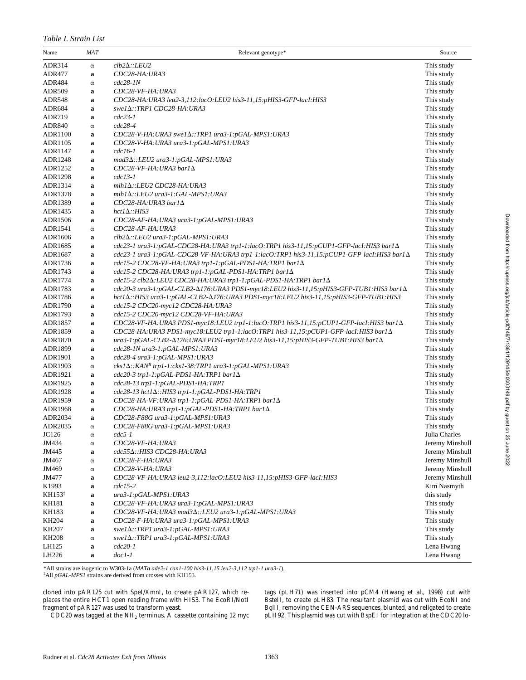*Table I. Strain List*

| Name               | <b>MAT</b> | Relevant genotype*                                                                                                      | Source                   |
|--------------------|------------|-------------------------------------------------------------------------------------------------------------------------|--------------------------|
| ADR314             | $\alpha$   | $clb2\Delta$ ::LEU2                                                                                                     | This study               |
| ADR477             | a          | CDC28-HA: URA3                                                                                                          | This study               |
| ADR484             | $\alpha$   | $cdc28-1N$                                                                                                              | This study               |
| <b>ADR509</b>      | a          | CDC28-VF-HA:URA3                                                                                                        | This study               |
| <b>ADR548</b>      | a          | $CDC28-HA: URA3$ leu2-3,112:lacO:LEU2 his3-11,15:pHIS3-GFP-lacI:HIS3                                                    | This study               |
| ADR684             | a          | swel $\Delta$ ::TRP1 CDC28-HA:URA3                                                                                      | This study               |
| <b>ADR719</b>      | a          | $cdc23-1$                                                                                                               | This study               |
| ADR840             | $\alpha$   | $cdc28-4$                                                                                                               | This study               |
| ADR1100            | a          | $\mathcal{CD}C28$ -V-HA:URA3 swe1 $\Delta$ ::TRP1 ura3-1:pGAL-MPS1:URA3                                                 | This study               |
| ADR1105            | a          | CDC28-V-HA: URA3 ura3-1:pGAL-MPS1: URA3                                                                                 | This study               |
| ADR1147            | a          | $cdc16-1$                                                                                                               | This study               |
| ADR1248            | a          | mad3 $\Delta$ ::LEU2 ura3-1:pGAL-MPS1:URA3                                                                              | This study               |
| ADR1252            | a          | $CDC28-VF-HA:URA3 bar1\Delta$                                                                                           | This study               |
| ADR1298            | a          | $cdc13-1$                                                                                                               | This study               |
| ADR1314            | a          | mih1\::LEU2 CDC28-HA:URA3                                                                                               | This study               |
| ADR1378            | a          | mih1\\ddi:LEU2 ura3-1:GAL-MPS1:URA3                                                                                     | This study               |
| ADR1389            | a          | $CDC28-HA: URA3$ barl $\Delta$                                                                                          | This study               |
| ADR1435            | a          | $hct1\Delta$ ::HIS3                                                                                                     | This study               |
| ADR1506            | a          | CDC28-AF-HA: URA3 ura3-1: pGAL-MPS1: URA3                                                                               | This study               |
| ADR1541            | $\alpha$   | CDC28-AF-HA:URA3                                                                                                        | This study               |
| ADR1606            | a          | $clb2\Delta$ ::LEU2 ura3-1:pGAL-MPS1:URA3                                                                               | This study               |
| ADR1685            | a          | cdc23-1 ura3-1:pGAL-CDC28-HA:URA3 trp1-1:lacO:TRP1 his3-11,15:pCUP1-GFP-lac1:HIS3 bar1 $\Delta$                         | This study               |
| ADR1687            | a          | cdc23-1 ura3-1:pGAL-CDC28-VF-HA:URA3 trp1-1:lacO:TRP1 his3-11,15:pCUP1-GFP-lacI:HIS3 bar1 $\Delta$                      | This study               |
| ADR1736            | a          | cdc15-2 CDC28-VF-HA:URA3 trp1-1:pGAL-PDS1-HA:TRP1 bar1A<br>cdc15-2 CDC28-HA:URA3 trp1-1:pGAL-PDS1-HA:TRP1 bar1 $\Delta$ | This study<br>This study |
| ADR1743<br>ADR1774 | a          | $cdc15$ -2 $clb2\Delta$ :LEU2 CDC28-HA:URA3 trp1-1:pGAL-PDS1-HA:TRP1 bar1 $\Delta$                                      | This study               |
| ADR1783            | a          | cdc20-3 ura3-1:pGAL-CLB2- $\Delta$ 176: URA3 PDS1-myc18: LEU2 his3-11,15:pHIS3-GFP-TUB1:HIS3 bar1 $\Delta$              | This study               |
| ADR1786            | a<br>a     | hctl $\Delta$ ::HIS3 ura3-1:pGAL-CLB2- $\Delta$ 176:URA3 PDS1-myc18:LEU2 his3-11,15:pHIS3-GFP-TUB1:HIS3                 | This study               |
| ADR1790            | a          | cdc15-2 CDC20-myc12 CDC28-HA:URA3                                                                                       | This study               |
| ADR1793            | a          | cdc15-2 CDC20-myc12 CDC28-VF-HA:URA3                                                                                    | This study               |
| ADR1857            | a          | CDC28-VF-HA:URA3 PDS1-myc18:LEU2 trp1-1:lacO:TRP1 his3-11,15:pCUP1-GFP-lacI:HIS3 bar1 $\Delta$                          | This study               |
| ADR1859            | a          | $CDC28-HA: URA3 PDS1-myc18:LEU2 trp1-1:lacO:TRP1 his3-11,15:pCUP1-GFP-lac1:HIS3 bar1\Delta$                             | This study               |
| ADR1870            | a          | $ura3-1:pGAL-CLB2-Δ176:URA3 PDS1-myc18:LEU2 his3-11,15:pHIS3-GFP-TUB1:HIS3 bar1Δ$                                       | This study               |
| ADR1899            | a          | cdc28-1N ura3-1:pGAL-MPS1:URA3                                                                                          | This study               |
| ADR1901            | a          | cdc28-4 ura3-1:pGAL-MPS1:URA3                                                                                           | This study               |
| ADR1903            | $\alpha$   | $cks1\Delta::KANR$ trp1-1:cks1-38:TRP1 ura3-1:pGAL-MPS1:URA3                                                            | This study               |
| ADR1921            | a          | $cdc20-3$ trp1-1:pGAL-PDS1-HA:TRP1 bar1 $\Delta$                                                                        | This study               |
| ADR1925            | a          | cdc28-13 trp1-1:pGAL-PDS1-HA:TRP1                                                                                       | This study               |
| ADR1928            | a          | $cdc28-13$ hct $1\Delta$ ::HIS3 trp1-1:pGAL-PDS1-HA:TRP1                                                                | This study               |
| ADR1959            | a          | CDC28-HA-VF:URA3 trp1-1:pGAL-PDS1-HA:TRP1 bar1 $\Delta$                                                                 | This study               |
| ADR1968            | a          | $CDC28-HA:URA3trp1-1:pGAL-PDS1-HA:TRP1bar1\Delta$                                                                       | This study               |
| ADR2034            | a          | CDC28-F88G ura3-1:pGAL-MPS1:URA3                                                                                        | This study               |
| ADR2035            | $\alpha$   | CDC28-F88G ura3-1:pGAL-MPS1:URA3                                                                                        | This study               |
| JC126              | $\alpha$   | cdc5-1                                                                                                                  | Julia Charles            |
| JM434              | $\alpha$   | CDC28-VF-HA:URA3                                                                                                        | Jeremy Minshull          |
| JM445              | a          | cdc55∆∴HIS3 CDC28-HA∶URA3                                                                                               | Jeremy Minshull          |
| JM467              | $\alpha$   | CDC28-F-HA:URA3                                                                                                         | Jeremy Minshull          |
| JM469              | $\alpha$   | CDC28-V-HA:URA3                                                                                                         | Jeremy Minshull          |
| JM477              | a          | CDC28-VF-HA: URA3 leu2-3,112:lacO: LEU2 his 3-11,15: pHIS3-GFP-lac1: HIS3                                               | Jeremy Minshull          |
| K1993              | a          | $cdc15-2$                                                                                                               | Kim Nasmyth              |
| KH153 <sup>‡</sup> | a          | ura3-1:pGAL-MPS1:URA3                                                                                                   | this study               |
| <b>KH181</b>       | a          | CDC28-VF-HA: URA3 ura3-1:pGAL-MPS1: URA3                                                                                | This study               |
| KH183              | a          | CDC28-VF-HA:URA3 mad3 $\Delta$ ::LEU2 ura3-1:pGAL-MPS1:URA3                                                             | This study               |
| KH204              | a          | CDC28-F-HA: URA3 ura3-1:pGAL-MPS1: URA3                                                                                 | This study               |
| <b>KH207</b>       | a          | swel $\Delta$ ::TRP1 ura3-1:pGAL-MPS1:URA3                                                                              | This study               |
| <b>KH208</b>       | $\alpha$   | swel $\Delta$ ::TRP1 ura3-1:pGAL-MPS1:URA3                                                                              | This study               |
| LH125              | a          | $cdc20-1$                                                                                                               | Lena Hwang               |
| LH226              | a          | $doc1-1$                                                                                                                | Lena Hwang               |

\*All strains are isogenic to W303-1a (*MATa ade2-1 can1-100 his3-11,15 leu2-3,112 trp1-1 ura3-1*).

‡ All *pGAL-MPS1* strains are derived from crosses with KH153.

cloned into pAR125 cut with SpeI/XmnI, to create pAR127, which replaces the entire *HCT1* open reading frame with *HIS3*. The EcoRI/NotI fragment of pAR127 was used to transform yeast.

 $\mathit{CDC20}$  was tagged at the  $\rm NH_2$  terminus. A cassette containing 12 myc

tags (pLH71) was inserted into pCM4 (Hwang et al., 1998) cut with BsteII, to create pLH83. The resultant plasmid was cut with EcoNI and BglII, removing the *CEN-ARS* sequences, blunted, and religated to create pLH92. This plasmid was cut with BspEI for integration at the *CDC20* lo-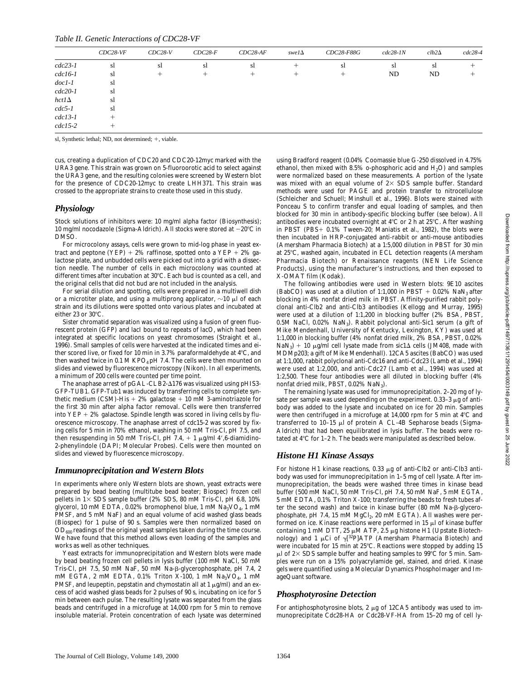|              | $CDC28-VF$ | $CDC28-V$ | $CDC28-F$ | $CDC28-AF$ | $swe1\Delta$ | CDC28-F88G | $cdc28-1N$ | $clb2\Delta$ | $cdc28-4$ |
|--------------|------------|-----------|-----------|------------|--------------|------------|------------|--------------|-----------|
| $cdc23-1$    | sl         | sl        | sl        | sl         | $\pm$        | sl         | sl         | -s1          |           |
| $cdc16-1$    | sl         | $^+$      | $^{+}$    | $^+$       | $^+$         | $^+$       | ND         | ND           |           |
| $doc1-1$     | sl         |           |           |            |              |            |            |              |           |
| $cdc20-1$    | sl         |           |           |            |              |            |            |              |           |
| $hct1\Delta$ | sl         |           |           |            |              |            |            |              |           |
| $cdc5-1$     | sl         |           |           |            |              |            |            |              |           |
| $cdc13-1$    | $^{+}$     |           |           |            |              |            |            |              |           |
| $cdc15-2$    |            |           |           |            |              |            |            |              |           |

sl, Synthetic lethal; ND, not determined;  $+$ , viable.

cus, creating a duplication of *CDC20* and *CDC20-12myc* marked with the *URA3* gene. This strain was grown on 5-fluoroorotic acid to select against the *URA3* gene, and the resulting colonies were screened by Western blot for the presence of *CDC20-12myc* to create LHH371. This strain was crossed to the appropriate strains to create those used in this study.

#### *Physiology*

Stock solutions of inhibitors were: 10 mg/ml alpha factor (Biosynthesis); 10 mg/ml nocodazole (Sigma-Aldrich). All stocks were stored at  $-20^{\circ}$ C in DMSO.

For microcolony assays, cells were grown to mid-log phase in yeast extract and peptone (YEP)  $+ 2\%$  raffinose, spotted onto a YEP  $+ 2\%$  galactose plate, and unbudded cells were picked out into a grid with a dissection needle. The number of cells in each microcolony was counted at different times after incubation at 30°C. Each bud is counted as a cell, and the original cells that did not bud are not included in the analysis.

For serial dilution and spotting, cells were prepared in a multiwell dish or a microtiter plate, and using a multiprong applicator,  $\sim$ 10  $\mu$ l of each strain and its dilutions were spotted onto various plates and incubated at either 23 or  $30^{\circ}$ C.

Sister chromatid separation was visualized using a fusion of green fluorescent protein (GFP) and lacI bound to repeats of *lacO*, which had been integrated at specific locations on yeast chromosomes (Straight et al., 1996). Small samples of cells were harvested at the indicated times and either scored live, or fixed for 10 min in 3.7% paraformaldehyde at 4°C, and then washed twice in 0.1 M KPO<sub>4</sub> pH 7.4. The cells were then mounted on slides and viewed by fluorescence microscopy (Nikon). In all experiments, a minimum of 200 cells were counted per time point.

The anaphase arrest of  $pGAL-CLB2- $\triangle$ 176 was visualized using *pHIS3*-$ *GFP-TUB1*. GFP-Tub1 was induced by transferring cells to complete synthetic medium (CSM)-His  $+ 2\%$  galactose  $+ 10$  mM 3-aminotriazole for the first 30 min after alpha factor removal. Cells were then transferred into YEP  $+ 2\%$  galactose. Spindle length was scored in living cells by fluorescence microscopy. The anaphase arrest of *cdc15-2* was scored by fixing cells for 5 min in 70% ethanol, washing in 50 mM Tris-Cl, pH 7.5, and then resuspending in 50 mM Tris-Cl, pH 7.4,  $+$  1  $\mu$ g/ml 4',6-diamidino-2-phenylindole (DAPI; Molecular Probes). Cells were then mounted on slides and viewed by fluorescence microscopy.

#### *Immunoprecipitation and Western Blots*

In experiments where only Western blots are shown, yeast extracts were prepared by bead beating (multitube bead beater; Biospec) frozen cell pellets in  $1\times$  SDS sample buffer (2% SDS, 80 mM Tris-Cl, pH 6.8, 10% glycerol, 10 mM EDTA, 0.02% bromophenol blue, 1 mM Na<sub>3</sub>VO<sub>4</sub>, 1 mM PMSF, and 5 mM NaF) and an equal volume of acid washed glass beads (Biospec) for 1 pulse of 90 s. Samples were then normalized based on  $OD<sub>600</sub>$  readings of the original yeast samples taken during the time course. We have found that this method allows even loading of the samples and works as well as other techniques.

Yeast extracts for immunoprecipitation and Western blots were made by bead beating frozen cell pellets in lysis buffer (100 mM NaCl, 50 mM Tris-Cl, pH 7.5, 50 mM NaF, 50 mM Na-b-glycerophosphate, pH 7.4, 2 mM EGTA, 2 mM EDTA,  $0.1\%$  Triton X-100, 1 mM Na<sub>3</sub>VO<sub>4</sub>, 1 mM PMSF, and leupeptin, pepstatin and chymostatin all at 1  $\mu$ g/ml) and an excess of acid washed glass beads for 2 pulses of 90 s, incubating on ice for 5 min between each pulse. The resulting lysate was separated from the glass beads and centrifuged in a microfuge at 14,000 rpm for 5 min to remove insoluble material. Protein concentration of each lysate was determined

using Bradford reagent (0.04% Coomassie blue G-250 dissolved in 4.75% ethanol, then mixed with  $8.5\%$  o-phosphoric acid and  $H_2O$ ) and samples were normalized based on these measurements. A portion of the lysate was mixed with an equal volume of  $2 \times$  SDS sample buffer. Standard methods were used for PAGE and protein transfer to nitrocellulose (Schleicher and Schuell; Minshull et al., 1996). Blots were stained with Ponceau S to confirm transfer and equal loading of samples, and then blocked for 30 min in antibody-specific blocking buffer (see below). All antibodies were incubated overnight at  $4^{\circ}$ C or 2 h at 25 $^{\circ}$ C. After washing in PBST (PBS+  $0.1\%$  Tween-20; Maniatis et al., 1982), the blots were then incubated in HRP-conjugated anti-rabbit or anti-mouse antibodies (Amersham Pharmacia Biotech) at a 1:5,000 dilution in PBST for 30 min at 25°C, washed again, incubated in ECL detection reagents (Amersham Pharmacia Biotech) or Renaissance reagents (NEN Life Science Products), using the manufacturer's instructions, and then exposed to X-OMAT film (Kodak).

The following antibodies were used in Western blots: 9E10 ascites (BabCO) was used at a dilution of 1:1,000 in PBST + 0.02%  $NaN_3$  after blocking in 4% nonfat dried milk in PBST. Affinity-purified rabbit polyclonal anti-Clb2 and anti-Clb3 antibodies (Kellogg and Murray, 1995) were used at a dilution of 1:1,200 in blocking buffer (2% BSA, PBST, 0.5M NaCl,  $0.02\%$  NaN<sub>3</sub>). Rabbit polyclonal anti-Sic1 serum (a gift of Mike Mendenhall, University of Kentucky, Lexington, KY) was used at 1:1,000 in blocking buffer (4% nonfat dried milk, 2% BSA, PBST, 0.02%  $\text{NaN}_3$ ) + 10  $\mu$ g/ml cell lysate made from *sic1* $\Delta$  cells (JM408, made with MDMp203; a gift of Mike Mendenhall). 12CA5 ascites (BabCO) was used at 1:1,000, rabbit polyclonal anti-Cdc16 and anti-Cdc23 (Lamb et al., 1994) were used at 1:2,000, and anti-Cdc27 (Lamb et al., 1994) was used at 1:2,500. These four antibodies were all diluted in blocking buffer (4% nonfat dried milk, PBST, 0.02% NaN<sub>3</sub>).

The remaining lysate was used for immunoprecipitation. 2–20 mg of lysate per sample was used depending on the experiment.  $0.33-3 \mu$ g of antibody was added to the lysate and incubated on ice for 20 min. Samples were then centrifuged in a microfuge at 14,000 rpm for 5 min at  $4^{\circ}$ C and transferred to  $10-15$   $\mu$ l of protein A CL-4B Sepharose beads (Sigma-Aldrich) that had been equilibrated in lysis buffer. The beads were rotated at  $4^{\circ}$ C for 1-2 h. The beads were manipulated as described below.

#### *Histone H1 Kinase Assays*

For histone H1 kinase reactions,  $0.33 \mu$ g of anti-Clb2 or anti-Clb3 antibody was used for immunoprecipitation in 1–5 mg of cell lysate. After immunoprecipitation, the beads were washed three times in kinase bead buffer (500 mM NaCl, 50 mM Tris-Cl, pH 7.4, 50 mM NaF, 5 mM EGTA, 5 mM EDTA, 0.1% Triton X-100; transferring the beads to fresh tubes after the second wash) and twice in kinase buffer (80 mM Na- $\beta$ -glycerophosphate, pH 7.4, 15 mM  $MgCl_2$ , 20 mM EGTA). All washes were performed on ice. Kinase reactions were performed in 15  $\mu$ l of kinase buffer containing 1 mM DTT, 25  $\upmu\text{M}$  ATP, 2.5  $\upmu\text{g}$  histone H1 (Upstate Biotechnology) and 1  $\mu$ Ci of  $\gamma$ [<sup>32</sup>P]ATP (Amersham Pharmacia Biotech) and were incubated for 15 min at 25°C. Reactions were stopped by adding 15  $\mu$ l of 2× SDS sample buffer and heating samples to 99°C for 5 min. Samples were run on a 15% polyacrylamide gel, stained, and dried. Kinase gels were quantified using a Molecular Dynamics PhosphoImager and ImageQuant software.

#### *Phosphotyrosine Detection*

For antiphosphotyrosine blots,  $2 \mu$ g of 12CA5 antibody was used to immunoprecipitate Cdc28-HA or Cdc28-VF-HA from 15–20 mg of cell ly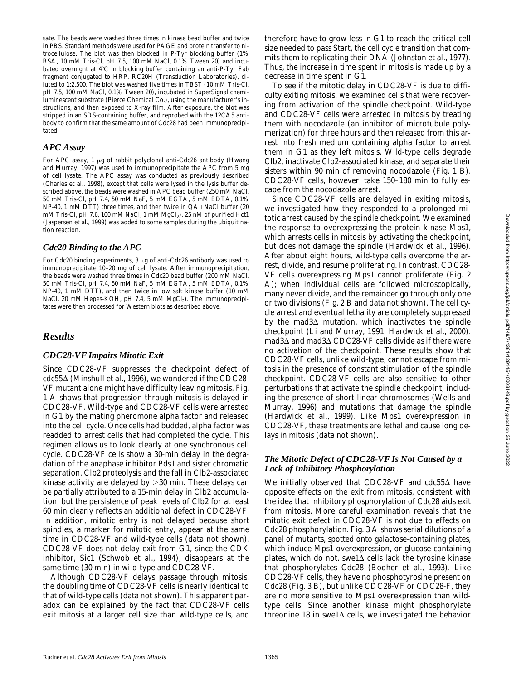sate. The beads were washed three times in kinase bead buffer and twice in PBS. Standard methods were used for PAGE and protein transfer to nitrocellulose. The blot was then blocked in P-Tyr blocking buffer (1% BSA, 10 mM Tris-Cl, pH 7.5, 100 mM NaCl, 0.1% Tween 20) and incubated overnight at 4°C in blocking buffer containing an anti-P-Tyr Fab fragment conjugated to HRP, RC20H (Transduction Laboratories), diluted to 1:2,500. The blot was washed five times in TBST (10 mM Tris-Cl, pH 7.5, 100 mM NaCl, 0.1% Tween 20), incubated in SuperSignal chemiluminescent substrate (Pierce Chemical Co.), using the manufacturer's instructions, and then exposed to X-ray film. After exposure, the blot was stripped in an SDS-containing buffer, and reprobed with the 12CA5 antibody to confirm that the same amount of Cdc28 had been immunoprecipitated.

#### *APC Assay*

For APC assay,  $1 \mu$ g of rabbit polyclonal anti-Cdc26 antibody (Hwang and Murray, 1997) was used to immunoprecipitate the APC from 5 mg of cell lysate. The APC assay was conducted as previously described (Charles et al., 1998), except that cells were lysed in the lysis buffer described above, the beads were washed in APC bead buffer (250 mM NaCl, 50 mM Tris-Cl, pH 7.4, 50 mM NaF, 5 mM EGTA, 5 mM EDTA, 0.1% NP-40, 1 mM DTT) three times, and then twice in  $QA + NaCl$  buffer (20 mM Tris-Cl, pH 7.6, 100 mM NaCl, 1 mM MgCl<sub>2</sub>). 25 nM of purified Hct1 (Jaspersen et al., 1999) was added to some samples during the ubiquitination reaction.

#### *Cdc20 Binding to the APC*

For Cdc20 binding experiments,  $3 \mu$ g of anti-Cdc26 antibody was used to immunoprecipitate 10–20 mg of cell lysate. After immunoprecipitation, the beads were washed three times in Cdc20 bead buffer (200 mM NaCl, 50 mM Tris-Cl, pH 7.4, 50 mM NaF, 5 mM EGTA, 5 mM EDTA, 0.1% NP-40, 1 mM DTT), and then twice in low salt kinase buffer (10 mM NaCl, 20 mM Hepes-KOH, pH 7.4, 5 mM MgCl<sub>2</sub>). The immunoprecipitates were then processed for Western blots as described above.

## *Results*

#### *CDC28-VF Impairs Mitotic Exit*

Since *CDC28-VF* suppresses the checkpoint defect of *cdc55*D (Minshull et al., 1996)*,* we wondered if the *CDC28- VF* mutant alone might have difficulty leaving mitosis. Fig. 1 A shows that progression through mitosis is delayed in *CDC28-VF*. Wild-type and *CDC28-VF* cells were arrested in G1 by the mating pheromone alpha factor and released into the cell cycle. Once cells had budded, alpha factor was readded to arrest cells that had completed the cycle. This regimen allows us to look clearly at one synchronous cell cycle. *CDC28-VF* cells show a 30-min delay in the degradation of the anaphase inhibitor Pds1 and sister chromatid separation. Clb2 proteolysis and the fall in Clb2-associated kinase activity are delayed by  $>30$  min. These delays can be partially attributed to a 15-min delay in Clb2 accumulation, but the persistence of peak levels of Clb2 for at least 60 min clearly reflects an additional defect in *CDC28-VF*. In addition, mitotic entry is not delayed because short spindles, a marker for mitotic entry, appear at the same time in *CDC28-VF* and wild-type cells (data not shown). *CDC28-VF* does not delay exit from G1, since the CDK inhibitor, Sic1 (Schwob et al., 1994), disappears at the same time (30 min) in wild-type and *CDC28-VF*.

Although *CDC28-VF* delays passage through mitosis, the doubling time of *CDC28-VF* cells is nearly identical to that of wild-type cells (data not shown). This apparent paradox can be explained by the fact that *CDC28-VF* cells exit mitosis at a larger cell size than wild-type cells, and therefore have to grow less in G1 to reach the critical cell size needed to pass Start, the cell cycle transition that commits them to replicating their DNA (Johnston et al., 1977). Thus, the increase in time spent in mitosis is made up by a decrease in time spent in G1.

To see if the mitotic delay in *CDC28-VF* is due to difficulty exiting mitosis, we examined cells that were recovering from activation of the spindle checkpoint. Wild-type and *CDC28-VF* cells were arrested in mitosis by treating them with nocodazole (an inhibitor of microtubule polymerization) for three hours and then released from this arrest into fresh medium containing alpha factor to arrest them in G1 as they left mitosis. Wild-type cells degrade Clb2, inactivate Clb2-associated kinase, and separate their sisters within 90 min of removing nocodazole (Fig. 1 B). *CDC28-VF* cells, however, take 150–180 min to fully escape from the nocodazole arrest.

Since *CDC28-VF* cells are delayed in exiting mitosis, we investigated how they responded to a prolonged mitotic arrest caused by the spindle checkpoint. We examined the response to overexpressing the protein kinase Mps1, which arrests cells in mitosis by activating the checkpoint, but does not damage the spindle (Hardwick et al., 1996). After about eight hours, wild-type cells overcome the arrest, divide, and resume proliferating. In contrast, *CDC28- VF* cells overexpressing Mps1 cannot proliferate (Fig. 2 A); when individual cells are followed microscopically, many never divide, and the remainder go through only one or two divisions (Fig. 2 B and data not shown). The cell cycle arrest and eventual lethality are completely suppressed by the *mad3* $\Delta$  mutation, which inactivates the spindle checkpoint (Li and Murray, 1991; Hardwick et al., 2000). *mad3*∆ and *mad3*∆ *CDC28-VF* cells divide as if there were no activation of the checkpoint. These results show that *CDC28-VF* cells, unlike wild-type, cannot escape from mitosis in the presence of constant stimulation of the spindle checkpoint. *CDC28-VF* cells are also sensitive to other perturbations that activate the spindle checkpoint, including the presence of short linear chromosomes (Wells and Murray, 1996) and mutations that damage the spindle (Hardwick et al., 1999). Like Mps1 overexpression in *CDC28-VF*, these treatments are lethal and cause long delays in mitosis (data not shown).

### *The Mitotic Defect of CDC28-VF Is Not Caused by a Lack of Inhibitory Phosphorylation*

We initially observed that *CDC28-VF* and *cdc55*D have opposite effects on the exit from mitosis, consistent with the idea that inhibitory phosphorylation of Cdc28 aids exit from mitosis. More careful examination reveals that the mitotic exit defect in *CDC28-VF* is not due to effects on Cdc28 phosphorylation. Fig. 3 A shows serial dilutions of a panel of mutants, spotted onto galactose-containing plates, which induce Mps1 overexpression, or glucose-containing plates, which do not.  $swe1\Delta$  cells lack the tyrosine kinase that phosphorylates Cdc28 (Booher et al., 1993). Like *CDC28-VF* cells, they have no phosphotyrosine present on Cdc28 (Fig. 3 B), but unlike *CDC28-VF* or *CDC28-F,* they are no more sensitive to Mps1 overexpression than wildtype cells. Since another kinase might phosphorylate threonine 18 in  $swe1\Delta$  cells, we investigated the behavior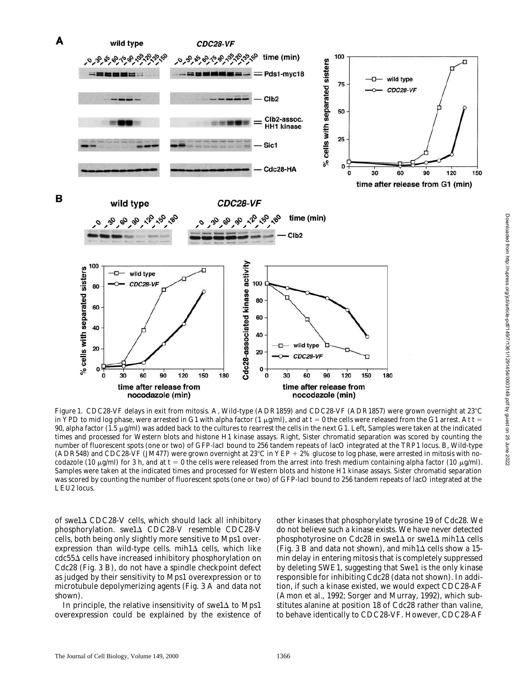

*Figure 1. CDC28-VF* delays in exit from mitosis. A, Wild-type (ADR1859) and *CDC28-VF* (ADR1857) were grown overnight at 23°C in YPD to mid log phase, were arrested in G1 with alpha factor (1  $\mu$ g/ml), and at t = 0 the cells were released from the G1 arrest. At t = 90, alpha factor (1.5  $\mu$ g/ml) was added back to the cultures to rearrest the cells in the next G1. Left, Samples were taken at the indicated times and processed for Western blots and histone H1 kinase assays. Right, Sister chromatid separation was scored by counting the number of fluorescent spots (one or two) of GFP-lacI bound to 256 tandem repeats of *lacO* integrated at the *TRP1* locus. B, Wild-type (ADR548) and *CDC28-VF* (JM477) were grown overnight at 23°C in YEP + 2% glucose to log phase, were arrested in mitosis with nocodazole (10  $\mu$ g/ml) for 3 h, and at t = 0 the cells were released from the arrest into fresh medium containing alpha factor (10  $\mu$ g/ml). Samples were taken at the indicated times and processed for Western blots and histone H1 kinase assays. Sister chromatid separation was scored by counting the number of fluorescent spots (one or two) of GFP-lacI bound to 256 tandem repeats of lacO integrated at the *LEU2* locus.

of *swe1*D CDC28-V cells, which should lack all inhibitory phosphorylation. *swe1*D CDC28-V resemble *CDC28-V* cells, both being only slightly more sensitive to Mps1 overexpression than wild-type cells.  $mih1\Delta$  cells, which like *cdc55*D cells have increased inhibitory phosphorylation on Cdc28 (Fig. 3 B), do not have a spindle checkpoint defect as judged by their sensitivity to Mps1 overexpression or to microtubule depolymerizing agents (Fig. 3 A and data not shown).

In principle, the relative insensitivity of  $swel\Delta$  to Mps1 overexpression could be explained by the existence of other kinases that phosphorylate tyrosine 19 of Cdc28. We do not believe such a kinase exists. We have never detected phosphotyrosine on Cdc28 in *swe1*Δ or *swe1*Δ *mih1*Δ cells (Fig. 3 B and data not shown), and  $mih1\Delta$  cells show a 15min delay in entering mitosis that is completely suppressed by deleting *SWE1*, suggesting that Swe1 is the only kinase responsible for inhibiting Cdc28 (data not shown). In addition, if such a kinase existed, we would expect *CDC28-AF* (Amon et al., 1992; Sorger and Murray, 1992)*,* which substitutes alanine at position 18 of Cdc28 rather than valine, to behave identically to *CDC28-VF*. However, *CDC28-AF*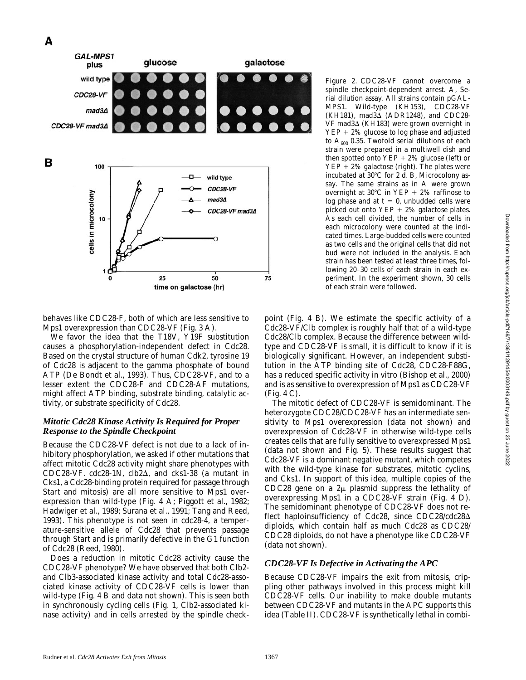

*Figure 2. CDC28-VF* cannot overcome a spindle checkpoint-dependent arrest. A, Serial dilution assay. All strains contain *pGAL-MPS1*. Wild-type (KH153), *CDC28-VF* (KH181), *mad3*D (ADR1248), and *CDC28- VF mad3*∆ (KH183) were grown overnight in  $YEP + 2\%$  glucose to log phase and adjusted to  $A_{600}$  0.35. Twofold serial dilutions of each strain were prepared in a multiwell dish and then spotted onto  $YEP + 2\%$  glucose (left) or  $YEP + 2\%$  galactose (right). The plates were incubated at  $30^{\circ}$ C for 2 d. B, Microcolony assay. The same strains as in A were grown overnight at  $30^{\circ}$ C in YEP + 2% raffinose to log phase and at  $t = 0$ , unbudded cells were picked out onto  $YEP + 2\%$  galactose plates. As each cell divided, the number of cells in each microcolony were counted at the indicated times. Large-budded cells were counted as two cells and the original cells that did not bud were not included in the analysis. Each strain has been tested at least three times, following 20–30 cells of each strain in each experiment. In the experiment shown, 30 cells of each strain were followed.

behaves like *CDC28-F*, both of which are less sensitive to Mps1 overexpression than *CDC28-VF* (Fig. 3 A).

We favor the idea that the T18V, Y19F substitution causes a phosphorylation-independent defect in Cdc28. Based on the crystal structure of human Cdk2, tyrosine 19 of Cdc28 is adjacent to the gamma phosphate of bound ATP (De Bondt et al., 1993). Thus, *CDC28-VF*, and to a lesser extent the *CDC28-F* and *CDC28-AF* mutations, might affect ATP binding, substrate binding, catalytic activity, or substrate specificity of Cdc28.

#### *Mitotic Cdc28 Kinase Activity Is Required for Proper Response to the Spindle Checkpoint*

Because the *CDC28-VF* defect is not due to a lack of inhibitory phosphorylation, we asked if other mutations that affect mitotic Cdc28 activity might share phenotypes with *CDC28-VF*. *cdc28-1N*, *clb2*D, and *cks1*-*38* (a mutant in Cks1, a Cdc28-binding protein required for passage through Start and mitosis) are all more sensitive to Mps1 overexpression than wild-type (Fig. 4 A; Piggott et al., 1982; Hadwiger et al., 1989; Surana et al., 1991; Tang and Reed, 1993). This phenotype is not seen in *cdc28-4*, a temperature-sensitive allele of Cdc28 that prevents passage through Start and is primarily defective in the G1 function of Cdc28 (Reed, 1980).

Does a reduction in mitotic Cdc28 activity cause the *CDC28-VF* phenotype? We have observed that both Clb2 and Clb3-associated kinase activity and total Cdc28-associated kinase activity of *CDC28-VF* cells is lower than wild-type (Fig. 4 B and data not shown). This is seen both in synchronously cycling cells (Fig. 1, Clb2-associated kinase activity) and in cells arrested by the spindle checkpoint (Fig. 4 B). We estimate the specific activity of a Cdc28-VF/Clb complex is roughly half that of a wild-type Cdc28/Clb complex. Because the difference between wildtype and *CDC28-VF* is small, it is difficult to know if it is biologically significant. However, an independent substitution in the ATP binding site of Cdc28, *CDC28-F88G*, has a reduced specific activity in vitro (Bishop et al., 2000) and is as sensitive to overexpression of Mps1 as *CDC28-VF* (Fig. 4 C).

The mitotic defect of *CDC28-VF* is semidominant. The heterozygote *CDC28/CDC28-VF* has an intermediate sensitivity to Mps1 overexpression (data not shown) and overexpression of Cdc28-VF in otherwise wild-type cells creates cells that are fully sensitive to overexpressed Mps1 (data not shown and Fig. 5). These results suggest that Cdc28-VF is a dominant negative mutant, which competes with the wild-type kinase for substrates, mitotic cyclins, and Cks1. In support of this idea, multiple copies of the *CDC28* gene on a  $2\mu$  plasmid suppress the lethality of overexpressing Mps1 in a *CDC28-VF* strain (Fig. 4 D). The semidominant phenotype of *CDC28-VF* does not reflect haploinsufficiency of Cdc28, since CDC28/cdc28<sup>△</sup> diploids, which contain half as much Cdc28 as *CDC28/ CDC28* diploids, do not have a phenotype like *CDC28-VF* (data not shown).

#### *CDC28-VF Is Defective in Activating the APC*

Because *CDC28-VF* impairs the exit from mitosis, crippling other pathways involved in this process might kill *CDC28-VF* cells. Our inability to make double mutants between *CDC28-VF* and mutants in the APC supports this idea (Table II). *CDC28-VF* is synthetically lethal in combi-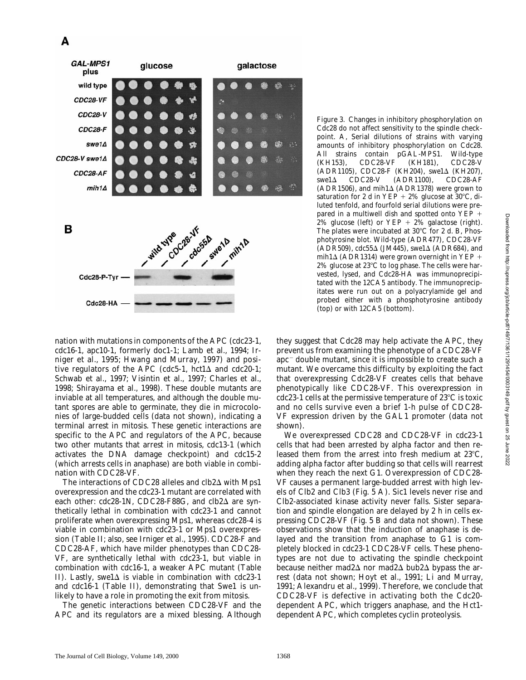

nation with mutations in components of the APC (*cdc23-1*, *cdc16-1*, *apc10-1,* formerly *doc1-1*; Lamb et al., 1994; Irniger et al., 1995; Hwang and Murray, 1997) and positive regulators of the APC ( $cdc5-1$ ,  $hct1\Delta$  and  $cdc20-1$ ; Schwab et al., 1997; Visintin et al., 1997; Charles et al., 1998; Shirayama et al., 1998). These double mutants are inviable at all temperatures, and although the double mutant spores are able to germinate, they die in microcolonies of large-budded cells (data not shown), indicating a terminal arrest in mitosis. These genetic interactions are specific to the APC and regulators of the APC, because two other mutants that arrest in mitosis, *cdc13-1* (which activates the DNA damage checkpoint) and *cdc15-2* (which arrests cells in anaphase) are both viable in combination with *CDC28-VF*.

The interactions of *CDC28* alleles and *clb2* $\Delta$  with Mps1 overexpression and the *cdc23-1* mutant are correlated with each other: *cdc28-1N*, *CDC28-F88G*, and *clb2* $\Delta$  are synthetically lethal in combination with *cdc23-1* and cannot proliferate when overexpressing Mps1, whereas *cdc28-4* is viable in combination with *cdc23-1* or Mps1 overexpression (Table II; also, see Irniger et al., 1995). *CDC28-F* and *CDC28-AF*, which have milder phenotypes than *CDC28- VF*, are synthetically lethal with *cdc23-1*, but viable in combination with *cdc16-1*, a weaker APC mutant (Table II). Lastly, *swe1* $\Delta$  is viable in combination with *cdc23-1* and *cdc16-1* (Table II), demonstrating that Swe1 is unlikely to have a role in promoting the exit from mitosis.

The genetic interactions between *CDC28-VF* and the APC and its regulators are a mixed blessing. Although

*Figure 3.* Changes in inhibitory phosphorylation on Cdc28 do not affect sensitivity to the spindle checkpoint. A, Serial dilutions of strains with varying amounts of inhibitory phosphorylation on Cdc28. All strains contain *pGAL-MPS1*. Wild-type (KH153), *CDC28-VF* (KH181), *CDC28-V* (ADR1105), *CDC28-F* (KH204), *swe1*∆ (KH207), *swe1*∆ CDC28-V (ADR1100), *CDC28-AF swe1*D CDC28-V (ADR1100), *CDC28-AF* (ADR1506), and  $mih1\Delta$  (ADR1378) were grown to saturation for 2 d in YEP + 2% glucose at  $30^{\circ}$ C, diluted tenfold, and fourfold serial dilutions were prepared in a multiwell dish and spotted onto  $YEP +$ 2% glucose (left) or YEP  $+$  2% galactose (right). The plates were incubated at  $30^{\circ}$ C for 2 d. B, Phosphotyrosine blot. Wild-type (ADR477), *CDC28-VF* (ADR509), *cdc55*D (JM445), *swe1*D (ADR684), and  $mih1\Delta$  (ADR1314) were grown overnight in YEP  $+$  $2\%$  glucose at  $23^{\circ}$ C to log phase. The cells were harvested, lysed, and Cdc28-HA was immunoprecipitated with the 12CA5 antibody. The immunoprecipitates were run out on a polyacrylamide gel and probed either with a phosphotyrosine antibody (top) or with 12CA5 (bottom).

they suggest that Cdc28 may help activate the APC, they prevent us from examining the phenotype of a *CDC28-VF apc*<sup>-</sup> double mutant, since it is impossible to create such a mutant. We overcame this difficulty by exploiting the fact that overexpressing Cdc28-VF creates cells that behave phenotypically like *CDC28-VF*. This overexpression in  $cdc23-1$  cells at the permissive temperature of  $23^{\circ}$ C is toxic and no cells survive even a brief 1-h pulse of *CDC28- VF* expression driven by the *GAL1* promoter (data not shown).

We overexpressed *CDC28* and *CDC28-VF* in *cdc23-1* cells that had been arrested by alpha factor and then released them from the arrest into fresh medium at  $23^{\circ}$ C, adding alpha factor after budding so that cells will rearrest when they reach the next G1. Overexpression of *CDC28- VF* causes a permanent large-budded arrest with high levels of Clb2 and Clb3 (Fig. 5 A). Sic1 levels never rise and Clb2-associated kinase activity never falls. Sister separation and spindle elongation are delayed by 2 h in cells expressing *CDC28-VF* (Fig. 5 B and data not shown). These observations show that the induction of anaphase is delayed and the transition from anaphase to G1 is completely blocked in *cdc23-1 CDC28-VF* cells. These phenotypes are not due to activating the spindle checkpoint because neither *mad2* $\triangle$  nor *mad2* $\triangle$  *bub2* $\triangle$  bypass the arrest (data not shown; Hoyt et al., 1991; Li and Murray, 1991; Alexandru et al., 1999). Therefore, we conclude that *CDC28-VF* is defective in activating both the Cdc20 dependent APC, which triggers anaphase, and the Hct1 dependent APC, which completes cyclin proteolysis.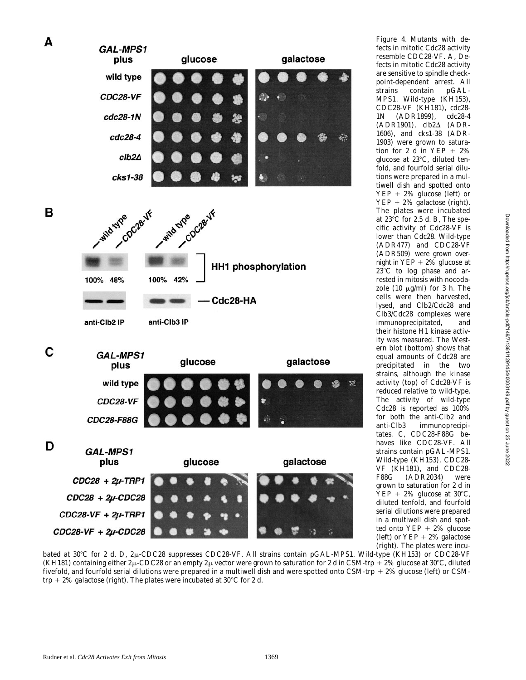

fects in mitotic Cdc28 activity resemble *CDC28-VF.* A, Defects in mitotic Cdc28 activity are sensitive to spindle checkpoint-dependent arrest. All strains contain *pGAL-MPS1*. Wild-type (KH153), *CDC28-VF* (KH181), *cdc28- 1N* (ADR1899), *cdc28-4* (ADR1901), *clb2*D (ADR-1606), and *cks1-38* (ADR-1903) were grown to saturation for 2 d in YEP  $+ 2\%$ glucose at 23°C, diluted tenfold, and fourfold serial dilutions were prepared in a multiwell dish and spotted onto YEP + 2% glucose (left) or  $YEP + 2\%$  galactose (right). The plates were incubated at  $23^{\circ}$ C for 2.5 d. B, The specific activity of Cdc28-VF is lower than Cdc28. Wild-type (ADR477) and *CDC28-VF* (ADR509) were grown overnight in YEP  $+ 2\%$  glucose at  $23^{\circ}$ C to log phase and arrested in mitosis with nocodazole (10  $\mu$ g/ml) for 3 h. The cells were then harvested, lysed, and Clb2/Cdc28 and Clb3/Cdc28 complexes were immunoprecipitated, and their histone H1 kinase activity was measured. The Western blot (bottom) shows that equal amounts of Cdc28 are precipitated in the two strains, although the kinase activity (top) of Cdc28-VF is reduced relative to wild-type. The activity of wild-type Cdc28 is reported as 100% for both the anti-Clb2 and anti-Clb3 immunoprecipitates. C, *CDC28-F88G* behaves like *CDC28-VF*. All strains contain *pGAL-MPS1*. Wild-type (KH153), *CDC28- VF* (KH181), and *CDC28- F88G* (ADR2034) were grown to saturation for 2 d in YEP + 2% glucose at  $30^{\circ}$ C, diluted tenfold, and fourfold serial dilutions were prepared in a multiwell dish and spotted onto  $YEP + 2\%$  glucose (left) or  $YEP + 2\%$  galactose (right). The plates were incu-

*Figure 4.* Mutants with de-

bated at 30°C for 2 d. D, 2<sub>k</sub>-CDC28 suppresses *CDC28-VF*. All strains contain *pGAL-MPS1*. Wild-type (KH153) or *CDC28-VF* (KH181) containing either  $2\mu$ -CDC28 or an empty  $2\mu$  vector were grown to saturation for 2 d in CSM-trp  $+2\%$  glucose at 30°C, diluted fivefold, and fourfold serial dilutions were prepared in a multiwell dish and were spotted onto CSM-trp  $+2\%$  glucose (left) or CSMtrp + 2% galactose (right). The plates were incubated at 30 $^{\circ}$ C for 2 d.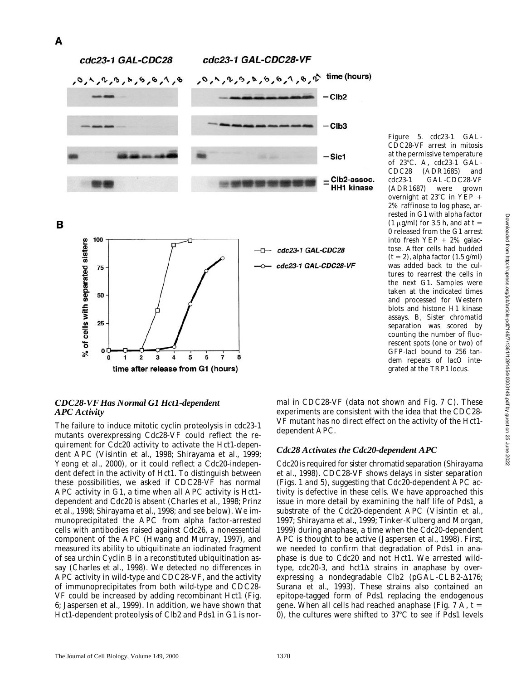Downloaded from http://rupress.org/jcb/article-pdf/149/7/1361/1291454/0003149.pdf by guest on 25 June 2022

Downloaded from http://rupress.org/jcb/article-pdf/149/7/1361/1291424/0003149.pdf by guest on 25 June 2022

*Figure 5. cdc23-1 GAL-CDC28-VF* arrest in mitosis at the permissive temperature of 238C. A, *cdc23-1 GAL-CDC28* (ADR1685) and *cdc23-1 GAL-CDC28-VF*  $(ADR1687)$  were overnight at 23 $^{\circ}$ C in YEP + 2% raffinose to log phase, arrested in G1 with alpha factor (1  $\mu$ g/ml) for 3.5 h, and at t = 0 released from the G1 arrest into fresh YEP  $+ 2\%$  galactose. After cells had budded  $(t = 2)$ , alpha factor  $(1.5 \text{ g/ml})$ was added back to the cultures to rearrest the cells in the next G1. Samples were taken at the indicated times and processed for Western blots and histone H1 kinase assays. B, Sister chromatid separation was scored by counting the number of fluorescent spots (one or two) of GFP-lacI bound to 256 tandem repeats of *lacO* integrated at the *TRP1* locus.



time after release from G1 (hours)

## *CDC28-VF Has Normal G1 Hct1-dependent APC Activity*

The failure to induce mitotic cyclin proteolysis in *cdc23-1* mutants overexpressing Cdc28-VF could reflect the requirement for Cdc20 activity to activate the Hct1-dependent APC (Visintin et al., 1998; Shirayama et al., 1999; Yeong et al., 2000), or it could reflect a Cdc20-independent defect in the activity of Hct1. To distinguish between these possibilities, we asked if *CDC28-VF* has normal APC activity in G1, a time when all APC activity is Hct1 dependent and Cdc20 is absent (Charles et al., 1998; Prinz et al., 1998; Shirayama et al., 1998; and see below). We immunoprecipitated the APC from alpha factor-arrested cells with antibodies raised against Cdc26, a nonessential component of the APC (Hwang and Murray, 1997), and measured its ability to ubiquitinate an iodinated fragment of sea urchin Cyclin B in a reconstituted ubiquitination assay (Charles et al., 1998). We detected no differences in APC activity in wild-type and *CDC28-VF*, and the activity of immunoprecipitates from both wild-type and *CDC28- VF* could be increased by adding recombinant Hct1 (Fig. 6; Jaspersen et al., 1999). In addition, we have shown that Hct1-dependent proteolysis of Clb2 and Pds1 in G1 is normal in *CDC28-VF* (data not shown and Fig. 7 C). These experiments are consistent with the idea that the *CDC28- VF* mutant has no direct effect on the activity of the Hct1 dependent APC.

## *Cdc28 Activates the Cdc20-dependent APC*

Cdc20 is required for sister chromatid separation (Shirayama et al., 1998). *CDC28-VF* shows delays in sister separation (Figs. 1 and 5), suggesting that Cdc20-dependent APC activity is defective in these cells. We have approached this issue in more detail by examining the half life of Pds1, a substrate of the Cdc20-dependent APC (Visintin et al., 1997; Shirayama et al., 1999; Tinker-Kulberg and Morgan, 1999) during anaphase, a time when the Cdc20-dependent APC is thought to be active (Jaspersen et al., 1998). First, we needed to confirm that degradation of Pds1 in anaphase is due to Cdc20 and not Hct1. We arrested wildtype,  $cdc20-3$ , and  $hct1\Delta$  strains in anaphase by overexpressing a nondegradable Clb2 (*pGAL-CLB2-* $\Delta$ 176; Surana et al., 1993). These strains also contained an epitope-tagged form of Pds1 replacing the endogenous gene. When all cells had reached anaphase (Fig.  $7 \text{ A}$ , t = 0), the cultures were shifted to  $37^{\circ}$ C to see if Pds1 levels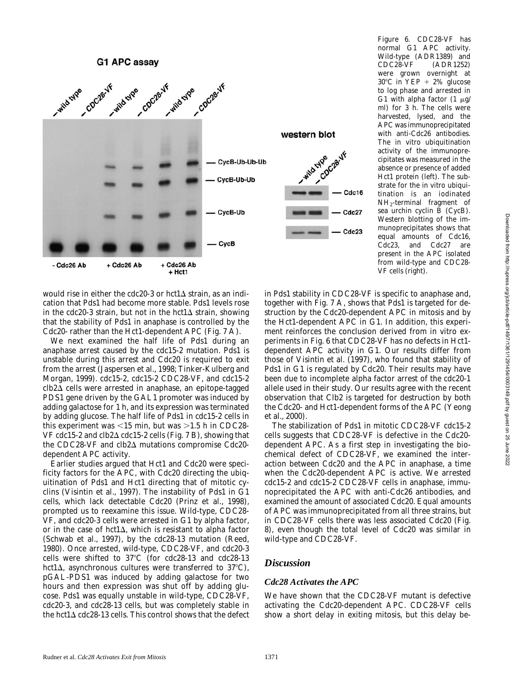G1 APC assay



*Figure 6. CDC28-VF* has normal G1 APC activity. Wild-type (ADR1389) and *CDC28-VF* (ADR1252) were grown overnight at  $30^{\circ}$ C in YEP + 2% glucose to log phase and arrested in G1 with alpha factor  $(1 \mu g)$ ml) for 3 h. The cells were harvested, lysed, and the APC was immunoprecipitated with anti-Cdc26 antibodies. The in vitro ubiquitination activity of the immunoprecipitates was measured in the absence or presence of added Hct1 protein (left). The substrate for the in vitro ubiquitination is an iodinated NH<sub>2</sub>-terminal fragment of sea urchin cyclin B (CycB). Western blotting of the immunoprecipitates shows that equal amounts of Cdc16, Cdc23, and Cdc27 are present in the APC isolated from wild-type and *CDC28- VF* cells (right).

would rise in either the *cdc20-3* or *hct1*D strain, as an indication that Pds1 had become more stable. Pds1 levels rose in the  $cdc20-3$  strain, but not in the  $hct1\Delta$  strain, showing that the stability of Pds1 in anaphase is controlled by the Cdc20- rather than the Hct1-dependent APC (Fig. 7 A).

We next examined the half life of Pds1 during an anaphase arrest caused by the *cdc15-2* mutation. Pds1 is unstable during this arrest and Cdc20 is required to exit from the arrest (Jaspersen et al., 1998; Tinker-Kulberg and Morgan, 1999). *cdc15-2*, *cdc15-2 CDC28-VF*, and *cdc15-2 clb2*D cells were arrested in anaphase, an epitope-tagged *PDS1* gene driven by the *GAL1* promoter was induced by adding galactose for 1 h, and its expression was terminated by adding glucose. The half life of Pds1 in *cdc15-2* cells in this experiment was  $\le$ 15 min, but was  $\ge$ 1.5 h in *CDC28*-*VF cdc15-2* and *clb2*D *cdc15-2* cells (Fig. 7 B), showing that the *CDC28-VF* and *clb2*D mutations compromise Cdc20 dependent APC activity.

Earlier studies argued that Hct1 and Cdc20 were specificity factors for the APC, with Cdc20 directing the ubiquitination of Pds1 and Hct1 directing that of mitotic cyclins (Visintin et al., 1997). The instability of Pds1 in G1 cells, which lack detectable Cdc20 (Prinz et al., 1998), prompted us to reexamine this issue. Wild-type, *CDC28- VF*, and *cdc20-3* cells were arrested in G1 by alpha factor, or in the case of  $hct1\Delta$ , which is resistant to alpha factor (Schwab et al., 1997), by the *cdc28-13* mutation (Reed, 1980). Once arrested, wild-type, *CDC28-VF*, and *cdc20-3* cells were shifted to 37°C (for *cdc28-13* and *cdc28-13*  $hct1\Delta$ , asynchronous cultures were transferred to 37°C), *pGAL-PDS1* was induced by adding galactose for two hours and then expression was shut off by adding glucose. Pds1 was equally unstable in wild-type, *CDC28-VF*, *cdc20-3*, and *cdc28-13* cells, but was completely stable in the  $hct1\Delta$   $cdc28-13$  cells. This control shows that the defect

in Pds1 stability in *CDC28-VF* is specific to anaphase and, together with Fig. 7 A, shows that Pds1 is targeted for destruction by the Cdc20-dependent APC in mitosis and by the Hct1-dependent APC in G1. In addition, this experiment reinforces the conclusion derived from in vitro experiments in Fig. 6 that *CDC28-VF* has no defects in Hct1 dependent APC activity in G1. Our results differ from those of Visintin et al. (1997), who found that stability of Pds1 in G1 is regulated by Cdc20. Their results may have been due to incomplete alpha factor arrest of the *cdc20-1* allele used in their study. Our results agree with the recent observation that Clb2 is targeted for destruction by both the Cdc20- and Hct1-dependent forms of the APC (Yeong et al., 2000).

The stabilization of Pds1 in mitotic *CDC28-VF cdc15-2* cells suggests that *CDC28-VF* is defective in the Cdc20 dependent APC. As a first step in investigating the biochemical defect of *CDC28-VF*, we examined the interaction between Cdc20 and the APC in anaphase, a time when the Cdc20-dependent APC is active. We arrested *cdc15-2* and *cdc15-2 CDC28-VF* cells in anaphase, immunoprecipitated the APC with anti-Cdc26 antibodies, and examined the amount of associated Cdc20. Equal amounts of APC was immunoprecipitated from all three strains, but in *CDC28-VF* cells there was less associated Cdc20 (Fig. 8), even though the total level of Cdc20 was similar in wild-type and *CDC28-VF*.

## *Discussion*

#### *Cdc28 Activates the APC*

We have shown that the *CDC28-VF* mutant is defective activating the Cdc20-dependent APC. *CDC28-VF* cells show a short delay in exiting mitosis, but this delay be-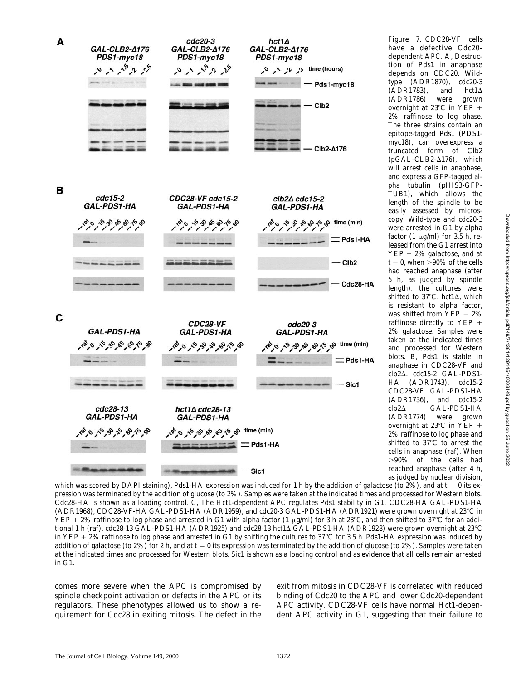

*Figure 7. CDC28-VF* cells have a defective Cdc20 dependent APC. A, Destruction of Pds1 in anaphase depends on *CDC20*. Wildtype (ADR1870), *cdc20-3*  $(ADR1783)$ , and *hct1* $\Delta$ (ADR1786) were grown overnight at  $23^{\circ}$ C in YEP + 2% raffinose to log phase. The three strains contain an epitope-tagged Pds1 *(PDS1 myc18)*, can overexpress a truncated form of Clb2 (*pGAL-CLB2-*Δ176), which will arrest cells in anaphase, and express a GFP-tagged alpha tubulin (*pHIS3-GFP-TUB1*), which allows the length of the spindle to be easily assessed by microscopy. Wild-type and *cdc20-3* were arrested in G1 by alpha factor (1  $\mu$ g/ml) for 3.5 h, released from the G1 arrest into  $YEP + 2\%$  galactose, and at  $t = 0$ , when  $> 90\%$  of the cells had reached anaphase (after 5 h, as judged by spindle length), the cultures were shifted to 37°C. hct1 $\Delta$ , which is resistant to alpha factor, was shifted from  $YEP + 2\%$ raffinose directly to  $YEP +$ 2% galactose. Samples were taken at the indicated times and processed for Western blots. B, Pds1 is stable in anaphase in *CDC28-VF* and *clb2*D. *cdc15-2 GAL-PDS1- HA* (ADR1743), *cdc15-2 CDC28-VF GAL-PDS1-HA* (ADR1736), and *cdc15-2 clb2*D GAL-PDS1-HA (ADR1774) were grown overnight at  $23^{\circ}$ C in YEP + 2% raffinose to log phase and shifted to 37°C to arrest the cells in anaphase (raf). When .90% of the cells had reached anaphase (after 4 h, as judged by nuclear division,

which was scored by DAPI staining), Pds1-HA expression was induced for 1 h by the addition of galactose (to  $2\%$ ), and at  $t = 0$  its expression was terminated by the addition of glucose (to 2%). Samples were taken at the indicated times and processed for Western blots. Cdc28-HA is shown as a loading control. C, The Hct1-dependent APC regulates Pds1 stability in G1. *CDC28-HA GAL-PDS1-HA* (ADR1968), *CDC28-VF-HA GAL-PDS1-HA* (ADR1959), and *cdc20-3 GAL-PDS1-HA* (ADR1921) were grown overnight at 23°C in YEP + 2% raffinose to log phase and arrested in G1 with alpha factor (1  $\mu$ g/ml) for 3 h at 23°C, and then shifted to 37°C for an additional 1 h (raf). *cdc28-13 GAL-PDS1-HA* (ADR1925) and *cdc28-13 hct1*∆ GAL-PDS1-HA (ADR1928) were grown overnight at 23°C in YEP + 2% raffinose to log phase and arrested in G1 by shifting the cultures to 37°C for 3.5 h. Pds1-HA expression was induced by addition of galactose (to 2%) for 2 h, and at  $t = 0$  its expression was terminated by the addition of glucose (to 2%). Samples were taken at the indicated times and processed for Western blots. Sic1 is shown as a loading control and as evidence that all cells remain arrested in G1.

comes more severe when the APC is compromised by spindle checkpoint activation or defects in the APC or its regulators. These phenotypes allowed us to show a requirement for Cdc28 in exiting mitosis. The defect in the

exit from mitosis in *CDC28-VF* is correlated with reduced binding of Cdc20 to the APC and lower Cdc20-dependent APC activity. *CDC28-VF* cells have normal Hct1-dependent APC activity in G1, suggesting that their failure to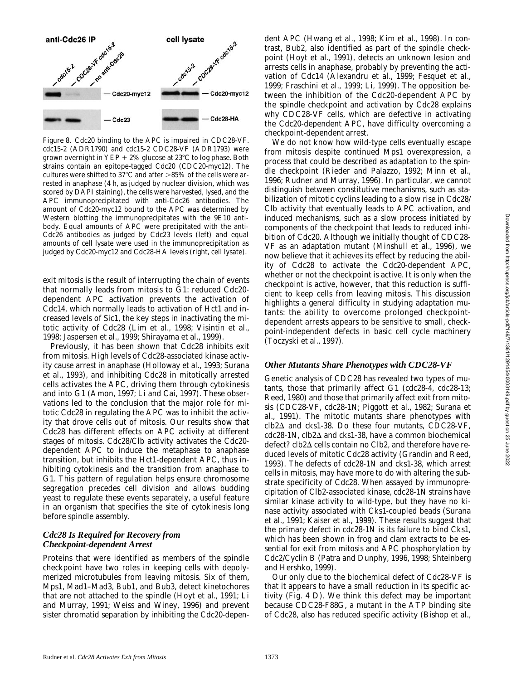

*Figure 8.* Cdc20 binding to the APC is impaired in *CDC28-VF. cdc15-2* (ADR1790) and *cdc15-2 CDC28-VF* (ADR1793) were grown overnight in YEP  $+ 2\%$  glucose at 23 $\degree$ C to log phase. Both strains contain an epitope-tagged Cdc20 *(CDC20-myc12)*. The cultures were shifted to 37°C and after  $>$ 85% of the cells were arrested in anaphase (4 h, as judged by nuclear division, which was scored by DAPI staining), the cells were harvested, lysed, and the APC immunoprecipitated with anti-Cdc26 antibodies. The amount of Cdc20-myc12 bound to the APC was determined by Western blotting the immunoprecipitates with the 9E10 antibody. Equal amounts of APC were precipitated with the anti-Cdc26 antibodies as judged by Cdc23 levels (left) and equal amounts of cell lysate were used in the immunoprecipitation as judged by Cdc20-myc12 and Cdc28-HA levels (right, cell lysate).

exit mitosis is the result of interrupting the chain of events that normally leads from mitosis to G1: reduced Cdc20 dependent APC activation prevents the activation of Cdc14, which normally leads to activation of Hct1 and increased levels of Sic1, the key steps in inactivating the mitotic activity of Cdc28 (Lim et al., 1998; Visintin et al., 1998; Jaspersen et al., 1999; Shirayama et al., 1999).

Previously, it has been shown that Cdc28 inhibits exit from mitosis. High levels of Cdc28-associated kinase activity cause arrest in anaphase (Holloway et al., 1993; Surana et al., 1993), and inhibiting Cdc28 in mitotically arrested cells activates the APC, driving them through cytokinesis and into G1 (Amon, 1997; Li and Cai, 1997). These observations led to the conclusion that the major role for mitotic Cdc28 in regulating the APC was to inhibit the activity that drove cells out of mitosis. Our results show that Cdc28 has different effects on APC activity at different stages of mitosis. Cdc28/Clb activity activates the Cdc20 dependent APC to induce the metaphase to anaphase transition, but inhibits the Hct1-dependent APC, thus inhibiting cytokinesis and the transition from anaphase to G1. This pattern of regulation helps ensure chromosome segregation precedes cell division and allows budding yeast to regulate these events separately, a useful feature in an organism that specifies the site of cytokinesis long before spindle assembly.

#### *Cdc28 Is Required for Recovery from Checkpoint-dependent Arrest*

Proteins that were identified as members of the spindle checkpoint have two roles in keeping cells with depolymerized microtubules from leaving mitosis. Six of them, Mps1, Mad1–Mad3, Bub1, and Bub3, detect kinetochores that are not attached to the spindle (Hoyt et al., 1991; Li and Murray, 1991; Weiss and Winey, 1996) and prevent sister chromatid separation by inhibiting the Cdc20-dependent APC (Hwang et al., 1998; Kim et al., 1998). In contrast, Bub2, also identified as part of the spindle checkpoint (Hoyt et al., 1991), detects an unknown lesion and arrests cells in anaphase, probably by preventing the activation of Cdc14 (Alexandru et al., 1999; Fesquet et al., 1999; Fraschini et al., 1999; Li, 1999). The opposition between the inhibition of the Cdc20-dependent APC by the spindle checkpoint and activation by Cdc28 explains why *CDC28-VF* cells, which are defective in activating the Cdc20-dependent APC, have difficulty overcoming a checkpoint-dependent arrest.

We do not know how wild-type cells eventually escape from mitosis despite continued Mps1 overexpression, a process that could be described as adaptation to the spindle checkpoint (Rieder and Palazzo, 1992; Minn et al., 1996; Rudner and Murray, 1996). In particular, we cannot distinguish between constitutive mechanisms, such as stabilization of mitotic cyclins leading to a slow rise in Cdc28/ Clb activity that eventually leads to APC activation, and induced mechanisms, such as a slow process initiated by components of the checkpoint that leads to reduced inhibition of Cdc20. Although we initially thought of *CDC28- VF* as an adaptation mutant (Minshull et al., 1996), we now believe that it achieves its effect by reducing the ability of Cdc28 to activate the Cdc20-dependent APC, whether or not the checkpoint is active. It is only when the checkpoint is active, however, that this reduction is sufficient to keep cells from leaving mitosis. This discussion highlights a general difficulty in studying adaptation mutants: the ability to overcome prolonged checkpointdependent arrests appears to be sensitive to small, checkpoint-independent defects in basic cell cycle machinery (Toczyski et al., 1997).

#### *Other Mutants Share Phenotypes with CDC28-VF*

Genetic analysis of *CDC28* has revealed two types of mutants, those that primarily affect G1 (*cdc28-4, cdc28-13*; Reed, 1980) and those that primarily affect exit from mitosis (*CDC28-VF, cdc28-1N*; Piggott et al., 1982; Surana et al., 1991). The mitotic mutants share phenotypes with *clb2*D and *cks1-38*. Do these four mutants, *CDC28-VF*, *cdc28-1N*, *clb2*D and *cks1-38*, have a common biochemical defect? *clb2* $\Delta$  cells contain no Clb2, and therefore have reduced levels of mitotic Cdc28 activity (Grandin and Reed, 1993). The defects of *cdc28-1N* and *cks1-38*, which arrest cells in mitosis, may have more to do with altering the substrate specificity of Cdc28. When assayed by immunoprecipitation of Clb2-associated kinase, *cdc28-1N* strains have similar kinase activity to wild-type, but they have no kinase activity associated with Cks1-coupled beads (Surana et al., 1991; Kaiser et al., 1999). These results suggest that the primary defect in *cdc28-1N* is its failure to bind Cks1, which has been shown in frog and clam extracts to be essential for exit from mitosis and APC phosphorylation by Cdc2/Cyclin B (Patra and Dunphy, 1996, 1998; Shteinberg and Hershko, 1999).

Our only clue to the biochemical defect of Cdc28-VF is that it appears to have a small reduction in its specific activity (Fig. 4 D). We think this defect may be important because *CDC28-F88G*, a mutant in the ATP binding site of Cdc28, also has reduced specific activity (Bishop et al.,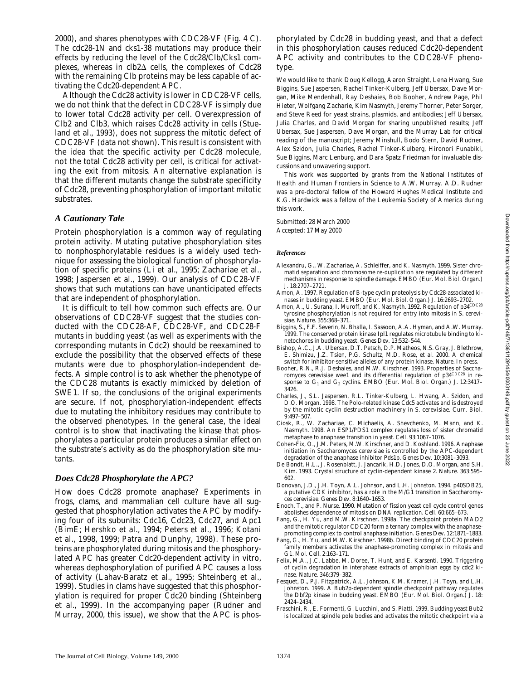Downloaded from http://rupress.org/jcb/article-pdf/149/7/1361/1291424/0003149.pdf by guest on 25 June 2022 Downloaded from http://rupress.org/jcb/article-pdf/149/7/1361/1291454/0003149.pdf by guest on 25 June 2022

2000), and shares phenotypes with *CDC28-VF* (Fig. 4 C). The *cdc28-1N* and *cks1-38* mutations may produce their effects by reducing the level of the Cdc28/Clb/Cks1 complexes, whereas in  $\text{clb2}\Delta$  cells, the complexes of Cdc28 with the remaining Clb proteins may be less capable of activating the Cdc20-dependent APC.

Although the Cdc28 activity is lower in *CDC28-VF* cells, we do not think that the defect in *CDC28-VF* is simply due to lower total Cdc28 activity per cell. Overexpression of Clb2 and Clb3, which raises Cdc28 activity in cells (Stueland et al., 1993), does not suppress the mitotic defect of *CDC28-VF* (data not shown). This result is consistent with the idea that the specific activity per Cdc28 molecule, not the total Cdc28 activity per cell, is critical for activating the exit from mitosis. An alternative explanation is that the different mutants change the substrate specificity of Cdc28, preventing phosphorylation of important mitotic substrates.

#### *A Cautionary Tale*

Protein phosphorylation is a common way of regulating protein activity. Mutating putative phosphorylation sites to nonphosphorylatable residues is a widely used technique for assessing the biological function of phosphorylation of specific proteins (Li et al., 1995; Zachariae et al., 1998; Jaspersen et al., 1999). Our analysis of *CDC28-VF* shows that such mutations can have unanticipated effects that are independent of phosphorylation.

It is difficult to tell how common such effects are. Our observations of *CDC28-VF* suggest that the studies conducted with the *CDC28-AF*, *CDC28-VF*, and *CDC28-F* mutants in budding yeast (as well as experiments with the corresponding mutants in Cdc2) should be reexamined to exclude the possibility that the observed effects of these mutants were due to phosphorylation-independent defects. A simple control is to ask whether the phenotype of the *CDC28* mutants is exactly mimicked by deletion of *SWE1*. If so, the conclusions of the original experiments are secure. If not, phosphorylation-independent effects due to mutating the inhibitory residues may contribute to the observed phenotypes. In the general case, the ideal control is to show that inactivating the kinase that phosphorylates a particular protein produces a similar effect on the substrate's activity as do the phosphorylation site mutants.

#### *Does Cdc28 Phosphorylate the APC?*

How does Cdc28 promote anaphase? Experiments in frogs, clams, and mammalian cell culture have all suggested that phosphorylation activates the APC by modifying four of its subunits: Cdc16, Cdc23, Cdc27, and Apc1 (BimE; Hershko et al., 1994; Peters et al., 1996; Kotani et al., 1998, 1999; Patra and Dunphy, 1998). These proteins are phosphorylated during mitosis and the phosphorylated APC has greater Cdc20-dependent activity in vitro, whereas dephosphorylation of purified APC causes a loss of activity (Lahav-Baratz et al., 1995; Shteinberg et al., 1999). Studies in clams have suggested that this phosphorylation is required for proper Cdc20 binding (Shteinberg et al., 1999). In the accompanying paper (Rudner and Murray, 2000, this issue), we show that the APC is phos-

phorylated by Cdc28 in budding yeast, and that a defect in this phosphorylation causes reduced Cdc20-dependent APC activity and contributes to the *CDC28-VF* phenotype.

We would like to thank Doug Kellogg, Aaron Straight, Lena Hwang, Sue Biggins, Sue Jaspersen, Rachel Tinker-Kulberg, Jeff Ubersax, Dave Morgan, Mike Mendenhall, Ray Deshaies, Bob Booher, Andrew Page, Phil Hieter, Wolfgang Zacharie, Kim Nasmyth, Jeremy Thorner, Peter Sorger, and Steve Reed for yeast strains, plasmids, and antibodies; Jeff Ubersax, Julia Charles, and David Morgan for sharing unpublished results; Jeff Ubersax, Sue Jaspersen, Dave Morgan, and the Murray Lab for critical reading of the manuscript; Jeremy Minshull, Bodo Stern, David Rudner, Alex Szidon, Julia Charles, Rachel Tinker-Kulberg, Hironori Funabiki, Sue Biggins, Marc Lenburg, and Dara Spatz Friedman for invaluable discussions and unwavering support.

This work was supported by grants from the National Institutes of Health and Human Frontiers in Science to A.W. Murray. A.D. Rudner was a pre-doctoral fellow of the Howard Hughes Medical Institute and K.G. Hardwick was a fellow of the Leukemia Society of America during this work.

Submitted: 28 March 2000 Accepted: 17 May 2000

#### *References*

- Alexandru, G., W. Zachariae, A. Schleiffer, and K. Nasmyth. 1999. Sister chromatid separation and chromosome re-duplication are regulated by different mechanisms in response to spindle damage. *EMBO (Eur. Mol. Biol. Organ.) J.* 18:2707–2721.
- Amon, A. 1997. Regulation of B-type cyclin proteolysis by Cdc28-associated kinases in budding yeast. *EMBO (Eur. Mol. Biol. Organ.) J.* 16:2693–2702.
- Amon, A., U. Surana, I. Muroff, and K. Nasmyth. 1992. Regulation of p34*CDC28* tyrosine phosphorylation is not required for entry into mitosis in *S. cerevisiae*. *Nature*. 355:368–371.
- Biggins, S., F.F. Severin, N. Bhalla, I. Sassoon, A.A. Hyman, and A.W. Murray. 1999. The conserved protein kinase Ipl1 regulates microtubule binding to kinetochores in budding yeast. *Genes Dev*. 13:532–544.
- Bishop, A.C., J.A. Ubersax, D.T. Petsch, D.P. Matheos, N.S. Gray, J. Blethrow, E. Shimizu, J.Z. Tsien, P.G. Schultz, M.D. Rose, et al. 2000. A chemical switch for inhibitor-sensitive alleles of any protein kinase. *Nature*. In press.
- Booher, R.N., R.J. Deshaies, and M.W. Kirschner. 1993. Properties of *Saccha-romyces cerevisiae* wee1 and its differential regulation of p34*CDC28* in response to  $G_1$  and  $G_2$  cyclins. *EMBO (Eur. Mol. Biol. Organ.) J.* 12:3417-3426.
- Charles, J., S.L. Jaspersen, R.L. Tinker-Kulberg, L. Hwang, A. Szidon, and D.O. Morgan. 1998. The Polo-related kinase Cdc5 activates and is destroyed by the mitotic cyclin destruction machinery in *S. cerevisiae*. *Curr. Biol.* 9:497–507.
- Ciosk, R., W. Zachariae, C. Michaelis, A. Shevchenko, M. Mann, and K. Nasmyth. 1998. An ESP1/PDS1 complex regulates loss of sister chromatid metaphase to anaphase transition in yeast. *Cell*. 93:1067–1076.
- Cohen-Fix, O., J.M. Peters, M.W. Kirschner, and D. Koshland. 1996. Anaphase initiation in *Saccharomyces cerevisiae* is controlled by the APC-dependent degradation of the anaphase inhibitor Pds1p. *Genes Dev*. 10:3081–3093.
- De Bondt, H.L., J. Rosenblatt, J. Jancarik, H.D. Jones, D.O. Morgan, and S.H. Kim. 1993. Crystal structure of cyclin-dependent kinase 2. *Nature*. 363:595– 602.
- Donovan, J.D., J.H. Toyn, A.L. Johnson, and L.H. Johnston. 1994. p40SDB25, a putative CDK inhibitor, has a role in the M/G1 transition in *Saccharomyces cerevisiae*. *Genes Dev*. 8:1640–1653.
- Enoch, T., and P. Nurse. 1990. Mutation of fission yeast cell cycle control genes abolishes dependence of mitosis on DNA replication. *Cell*. 60:665–673.
- Fang, G., H. Yu, and M.W. Kirschner. 1998a. The checkpoint protein MAD2 and the mitotic regulator CDC20 form a ternary complex with the anaphasepromoting complex to control anaphase initiation. *Genes Dev*. 12:1871–1883.
- Fang, G., H. Yu, and M.W. Kirschner. 1998b. Direct binding of CDC20 protein family members activates the anaphase-promoting complex in mitosis and G1. *Mol. Cell*. 2:163–171.
- Felix, M.A., J.C. Labbe, M. Doree, T. Hunt, and E. Karsenti. 1990. Triggering of cyclin degradation in interphase extracts of amphibian eggs by cdc2 kinase. *Nature*. 346:379–382.
- Fesquet, D., P.J. Fitzpatrick, A.L. Johnson, K.M. Kramer, J.H. Toyn, and L.H. Johnston. 1999. A Bub2p-dependent spindle checkpoint pathway regulates the Dbf2p kinase in budding yeast. *EMBO (Eur. Mol. Biol. Organ.) J.* 18: 2424–2434.
- Fraschini, R., E. Formenti, G. Lucchini, and S. Piatti. 1999. Budding yeast Bub2 is localized at spindle pole bodies and activates the mitotic checkpoint via a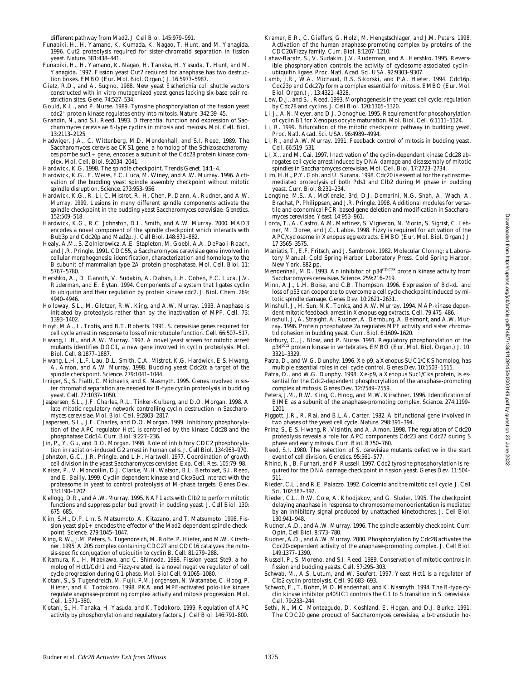different pathway from Mad2. *J. Cell Biol*. 145:979–991.

- Funabiki, H., H. Yamano, K. Kumada, K. Nagao, T. Hunt, and M. Yanagida. 1996. Cut2 proteolysis required for sister-chromatid separation in fission yeast. *Nature*. 381:438–441.
- Funabiki, H., H. Yamano, K. Nagao, H. Tanaka, H. Yasuda, T. Hunt, and M. Yanagida. 1997. Fission yeast Cut2 required for anaphase has two destruction boxes. *EMBO (Eur. Mol. Biol. Organ.) J.* 16:5977–5987.
- Gietz, R.D., and A. Sugino. 1988. New yeast *Escherichia coli* shuttle vectors constructed with in vitro mutagenized yeast genes lacking six-base pair restriction sites. *Gene*. 74:527–534.
- Gould, K.L., and P. Nurse. 1989. Tyrosine phosphorylation of the fission yeast cdc2<sup>1</sup> protein kinase regulates entry into mitosis. *Nature*. 342:39–45.
- Grandin, N., and S.I. Reed. 1993. Differential function and expression of *Saccharomyces cerevisiae* B-type cyclins in mitosis and meiosis. *Mol. Cell. Biol*. 13:2113–2125.
- Hadwiger, J.A., C. Wittenberg, M.D. Mendenhall, and S.I. Reed. 1989. The *Saccharomyces cerevisiae CKS1* gene, a homolog of the *Schizosaccharomyces pombe suc1*+ gene, encodes a subunit of the Cdc28 protein kinase complex. *Mol. Cell. Biol*. 9:2034–2041.
- Hardwick, K.G. 1998. The spindle checkpoint. *Trends Genet*. 14:1–4.
- Hardwick, K.G., E. Weiss, F.C. Luca, M. Winey, and A.W. Murray. 1996. Activation of the budding yeast spindle assembly checkpoint without mitotic spindle disruption. *Science*. 273:953–956.
- Hardwick, K.G., R. Li, C. Mistrot, R.-H. Chen, P. Dann, A. Rudner, and A.W. Murray. 1999. Lesions in many different spindle components activate the spindle checkpoint in the budding yeast *Saccharomyces cerevisiae*. *Genetics*. 152:509–518.
- Hardwick, K.G., R.C. Johnston, D.L. Smith, and A.W. Murray. 2000. *MAD3* encodes a novel component of the spindle checkpoint which interacts with Bub3p and Cdc20p and Mad2p. *J. Cell Biol.* 148:871–882.
- Healy, A.M., S. Zolnierowicz, A.E. Stapleton, M. Goebl, A.A. DePaoli-Roach, and J.R. Pringle. 1991. *CDC55*, a *Saccharomyces cerevisiae* gene involved in cellular morphogenesis: identification, characterization and homology to the B subunit of mammalian type 2A protein phosphatase. *Mol. Cell. Biol.* 11: 5767–5780.
- Hershko, A., D. Ganoth, V. Sudakin, A. Dahan, L.H. Cohen, F.C. Luca, J.V. Ruderman, and E. Eytan. 1994. Components of a system that ligates cyclin to ubiquitin and their regulation by protein kinase cdc2. *J. Biol. Chem.* 269: 4940–4946.
- Holloway, S.L., M. Glotzer, R.W. King, and A.W. Murray. 1993. Anaphase is initiated by proteolysis rather than by the inactivation of MPF. *Cell*. 73: 1393–1402.
- Hoyt, M.A., L. Trotis, and B.T. Roberts. 1991. *S. cerevisiae* genes required for cell cycle arrest in response to loss of microtubule function. *Cell*. 66:507–517.
- Hwang, L.H., and A.W. Murray. 1997. A novel yeast screen for mitotic arrest mutants identifies *DOC1*, a new gene involved in cyclin proteolysis. *Mol. Biol. Cell*. 8:1877–1887.
- Hwang, L.H., L.F. Lau, D.L. Smith, C.A. Mistrot, K.G. Hardwick, E.S. Hwang, A. Amon, and A.W. Murray. 1998. Budding yeast Cdc20: a target of the spindle checkpoint. *Science*. 279:1041–1044.
- Irniger, S., S. Piatti, C. Michaelis, and K. Nasmyth. 1995. Genes involved in sister chromatid separation are needed for B-type cyclin proteolysis in budding yeast. *Cell*. 77:1037–1050.
- Jaspersen, S.L., J.F. Charles, R.L. Tinker-Kulberg, and D.O. Morgan. 1998. A late mitotic regulatory network controlling cyclin destruction in *Saccharomyces cerevisiae*. *Mol. Biol. Cell*. 9:2803–2817.
- Jaspersen, S.L., J.F. Charles, and D.O. Morgan. 1999. Inhibitory phosphorylation of the APC regulator Hct1 is controlled by the kinase Cdc28 and the phosphatase Cdc14. *Curr. Biol*. 9:227–236.
- Jin, P., Y. Gu, and D.O. Morgan. 1996. Role of inhibitory CDC2 phosphorylation in radiation-induced G2 arrest in human cells. *J. Cell Biol*. 134:963–970.
- Johnston, G.C., J.R. Pringle, and L.H. Hartwell. 1977. Coordination of growth cell division in the yeast *Saccharomyces cervisiae*. *Exp. Cell. Res.* 105:79–98.
- Kaiser, P., V. Moncollin, D.J. Clarke, M.H. Watson, B.L. Bertolaet, S.I. Reed, and E. Bailly. 1999. Cyclin-dependent kinase and Cks/Suc1 interact with the proteasome in yeast to control proteolysis of M-phase targets. *Genes Dev*. 13:1190–1202.
- Kellogg, D.R., and A.W. Murray. 1995. NAP1 acts with Clb2 to perform mitotic functions and suppress polar bud growth in budding yeast. *J. Cell Biol.* 130: 675–685.
- Kim, S.H., D.P. Lin, S. Matsumoto, A. Kitazano, and T. Matsumoto. 1998. Fission yeast  $slp1+$  encodes the effector of the Mad2-dependent spindle checkpoint. *Science*. 279:1045–1047.
- King, R.W., J.M. Peters, S. Tugendreich, M. Rolfe, P. Hieter, and M.W. Kirschner. 1995. A 20S complex containing CDC27 and CDC16 catalyzes the mitosis-specific conjugation of ubiquitin to cyclin B. *Cell*. 81:279–288.
- Kitamura, K., H. Maekawa, and C. Shimoda. 1998. Fission yeast Ste9, a homolog of Hct1/Cdh1 and Fizzy-related, is a novel negative regulator of cell cycle progression during G1-phase. *Mol. Biol Cell*. 9:1065–1080.
- Kotani, S., S. Tugendreich, M. Fujii, P.M. Jorgensen, N. Watanabe, C. Hoog, P. Hieter, and K. Todokoro. 1998. PKA and MPF-activated polo-like kinase regulate anaphase-promoting complex activity and mitosis progression. *Mol. Cell*. 1:371–380.
- Kotani, S., H. Tanaka, H. Yasuda, and K. Todokoro. 1999. Regulation of APC activity by phosphorylation and regulatory factors. *J. Cell Biol*. 146:791–800.
- Kramer, E.R., C. Gieffers, G. Holzl, M. Hengstschlager, and J.M. Peters. 1998. Activation of the human anaphase-promoting complex by proteins of the CDC20/Fizzy family. *Curr. Biol*. 8:1207–1210.
- Lahav-Baratz, S., V. Sudakin, J.V. Ruderman, and A. Hershko. 1995. Reversible phosphorylation controls the activity of cyclosome-associated cyclin– ubiquitin ligase. *Proc. Natl. Acad. Sci. USA*. 92:9303–9307.
- Lamb, J.R., W.A. Michaud, R.S. Sikorski, and P.A. Hieter. 1994. Cdc16p, Cdc23p and Cdc27p form a complex essential for mitosis. *EMBO (Eur. Mol. Biol. Organ.) J.* 13:4321–4328.
- Lew, D.J., and S.I. Reed. 1993. Morphogenesis in the yeast cell cycle: regulation by Cdc28 and cyclins. *J. Cell Biol*. 120:1305–1320.
- Li, J., A.N. Meyer, and D.J. Donoghue. 1995. Requirement for phosphorylation of cyclin B1 for *Xenopus* oocyte maturation. *Mol. Biol. Cell*. 6:1111–1124.
- Li, R. 1999. Bifurcation of the mitotic checkpoint pathway in budding yeast. *Proc. Natl. Acad. Sci. USA*. 96:4989–4994.
- Li, R., and A.W. Murray. 1991. Feedback control of mitosis in budding yeast. *Cell*. 66:519–531.
- Li, X., and M. Cai. 1997. Inactivation of the cyclin-dependent kinase Cdc28 abrogates cell cycle arrest induced by DNA damage and disassembly of mitotic spindles in *Saccharomyces cerevisiae*. *Mol. Cell. Biol*. 17:2723–2734.
- Lim, H.H., P.Y. Goh, and U. Surana. 1998. Cdc20 is essential for the cyclosomemediated proteolysis of both Pds1 and Clb2 during M phase in budding yeast. *Curr. Biol*. 8:231–234.
- Longtine, M.S., A. McKenzie, 3rd, D.J. Demarini, N.G. Shah, A. Wach, A. Brachat, P. Philippsen, and J.R. Pringle. 1998. Additional modules for versatile and economical PCR-based gene deletion and modification in *Saccharomyces cerevisiae*. *Yeast*. 14:953–961.
- Lorca, T., A. Castro, A.M. Martinez, S. Vigneron, N. Morin, S. Sigrist, C. Lehner, M. Doree, and J.C. Labbe. 1998. Fizzy is required for activation of the APC/cyclosome in *Xenopus* egg extracts. *EMBO (Eur. Mol. Biol. Organ.) J.* 17:3565–3575.
- Maniatis, T., E.F. Fritsch, and J. Sambrook. 1982. Molecular Cloning: a Laboratory Manual. Cold Spring Harbor Laboratory Press, Cold Spring Harbor, New York. 882 pp.
- Mendenhall, M.D. 1993. An inhibitor of p34<sup>CDC28</sup> protein kinase activity from *Saccharomyces cerevisiae*. *Science*. 259:216–219.
- Minn, A.J., L.H. Boise, and C.B. Thompson. 1996. Expression of Bcl-xL and loss of p53 can cooperate to overcome a cell cycle checkpoint induced by mitotic spindle damage. *Genes Dev*. 10:2621–2631.
- Minshull, J., H. Sun, N.K. Tonks, and A.W. Murray. 1994. MAP-kinase dependent mitotic feedback arrest in *Xenopus* egg extracts. *Cell*. 79:475–486.
- Minshull, J., A. Straight, A. Rudner, A. Dernburg, A. Belmont, and A.W. Murray. 1996. Protein phosphatase 2a regulates MPF activity and sister chromatid cohesion in budding yeast. *Curr. Biol.* 6:1609–1620.
- Norbury, C., J. Blow, and P. Nurse. 1991. Regulatory phosphorylation of the p34<sup>*cdc2*</sup> protein kinase in vertebrates. *EMBO (Eur. Mol. Biol. Organ.) J.* 10: 3321–3329.
- Patra, D., and W.G. Dunphy. 1996. Xe-p9, a *Xenopus* SUC1/CKS homolog, has multiple essential roles in cell cycle control. *Genes Dev*. 10:1503–1515.
- Patra, D., and W.G. Dunphy. 1998. Xe-p9, a *Xenopus* Suc1/Cks protein, is essential for the Cdc2-dependent phosphorylation of the anaphase-promoting complex at mitosis. *Genes Dev*. 12:2549–2559.
- Peters, J.M., R.W. King, C. Hoog, and M.W. Kirschner. 1996. Identification of BIME as a subunit of the anaphase-promoting complex. *Science*. 274:1199– 1201.
- Piggott, J.R., R. Rai, and B.L.A. Carter. 1982. A bifunctional gene involved in two phases of the yeast cell cycle. *Nature*. 298:391–394.
- Prinz, S., E.S. Hwang, R. Visintin, and A. Amon. 1998. The regulation of Cdc20 proteolysis reveals a role for APC components Cdc23 and Cdc27 during S phase and early mitosis. *Curr. Biol*. 8:750–760.
- Reed, S.I. 1980. The selection of *S. cerevisiae* mutants defective in the start event of cell division. *Genetics*. 95:561–577.
- Rhind, N., B. Furnari, and P. Russell. 1997. Cdc2 tyrosine phosphorylation is required for the DNA damage checkpoint in fission yeast. *Genes Dev.* 11:504-511.
- Rieder, C.L., and R.E. Palazzo. 1992. Colcemid and the mitotic cell cycle. *J. Cell Sci.* 102:387–392.
- Rieder, C.L., R.W. Cole, A. Khodjakov, and G. Sluder. 1995. The checkpoint delaying anaphase in response to chromosome monoorientation is mediated by an inhibitory signal produced by unattached kinetochores. *J. Cell Biol.* 130:941–948.
- Rudner, A.D., and A.W. Murray. 1996. The spindle assembly checkpoint. *Curr. Opin. Cell Biol.* 8:773–780.
- Rudner, A.D., and A.W. Murray. 2000. Phosphorylation by Cdc28 activates the Cdc20-dependent activity of the anaphase-promoting complex. *J. Cell Biol.* 149:1377–1390.
- Russell, P., S. Moreno, and S.I. Reed. 1989. Conservation of mitotic controls in fission and budding yeasts. *Cell*. 57:295–303.
- Schwab, M., A.S. Lutum, and W. Seufert. 1997. Yeast Hct1 is a regulator of Clb2 cyclin proteolysis. *Cell*. 90:683–693.
- Schwob, E., T. Bohm, M.D. Mendenhall, and K. Nasmyth. 1994. The B-type cyclin kinase inhibitor p40SIC1 controls the G1 to S transition in *S. cerevisiae*. *Cell*. 79:233–244.
- Sethi, N., M.C. Monteagudo, D. Koshland, E. Hogan, and D.J. Burke. 1991. The *CDC20* gene product of *Saccharomyces cerevisiae*, a b-transducin ho-